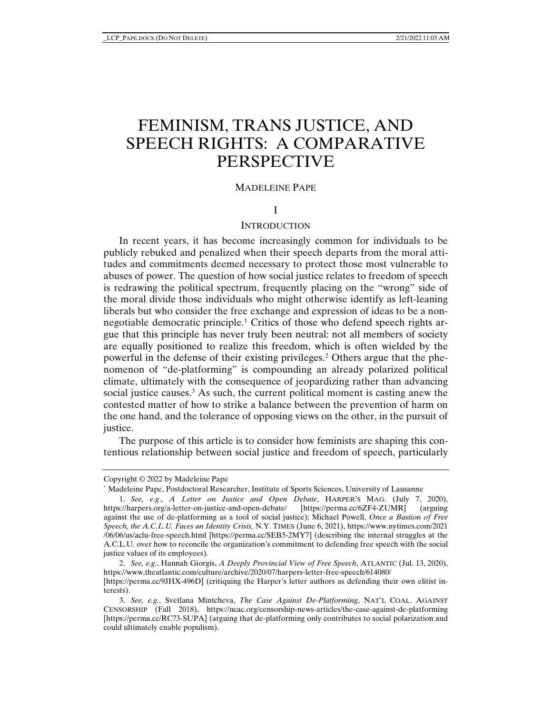# FEMINISM, TRANS JUSTICE, AND SPEECH RIGHTS: A COMPARATIVE PERSPECTIVE

## MADELEINE PAPE

# I

# **INTRODUCTION**

In recent years, it has become increasingly common for individuals to be publicly rebuked and penalized when their speech departs from the moral attitudes and commitments deemed necessary to protect those most vulnerable to abuses of power. The question of how social justice relates to freedom of speech is redrawing the political spectrum, frequently placing on the "wrong" side of the moral divide those individuals who might otherwise identify as left-leaning liberals but who consider the free exchange and expression of ideas to be a non-negotiable democratic principle.<sup>[1](#page-0-0)</sup> Critics of those who defend speech rights argue that this principle has never truly been neutral: not all members of society are equally positioned to realize this freedom, which is often wielded by the powerful in the defense of their existing privileges.[2](#page-0-1) Others argue that the phenomenon of "de-platforming" is compounding an already polarized political climate, ultimately with the consequence of jeopardizing rather than advancing social justice causes.<sup>[3](#page-0-2)</sup> As such, the current political moment is casting anew the contested matter of how to strike a balance between the prevention of harm on the one hand, and the tolerance of opposing views on the other, in the pursuit of justice.

The purpose of this article is to consider how feminists are shaping this contentious relationship between social justice and freedom of speech, particularly

[https://perma.cc/9JHX-496D] (critiquing the Harper's letter authors as defending their own elitist interests).

<span id="page-0-0"></span>Copyright © 2022 by Madeleine Pape

<sup>\*</sup> Madeleine Pape, Postdoctoral Researcher, Institute of Sports Sciences, University of Lausanne

<sup>1.</sup> *See, e.g*., *A Letter on Justice and Open Debate*, HARPER'S MAG. (July 7, 2020), https://harpers.org/a-letter-on-justice-and-open-debate/ [https://perma.cc/6ZF4-ZUMR] (arguing against the use of de-platforming as a tool of social justice); Michael Powell, *Once a Bastion of Free Speech, the A.C.L.U. Faces an Identity Crisis,* N.Y. TIMES (June 6, 2021), https://www.nytimes.com/2021 /06/06/us/aclu-free-speech.html [https://perma.cc/SEB5-2MY7] (describing the internal struggles at the A.C.L.U. over how to reconcile the organization's commitment to defending free speech with the social justice values of its employees).

<span id="page-0-1"></span><sup>2.</sup> *See, e.g.*, Hannah Giorgis, *A Deeply Provincial View of Free Speech*, ATLANTIC (Jul. 13, 2020), https://www.theatlantic.com/culture/archive/2020/07/harpers-letter-free-speech/614080/

<span id="page-0-2"></span><sup>3.</sup> *See, e.g.*, Svetlana Mintcheva, *The Case Against De-Platforming*, NAT'L COAL. AGAINST CENSORSHIP (Fall 2018), https://ncac.org/censorship-news-articles/the-case-against-de-platforming [https://perma.cc/RC73-SUPA] (arguing that de-platforming only contributes to social polarization and could ultimately enable populism).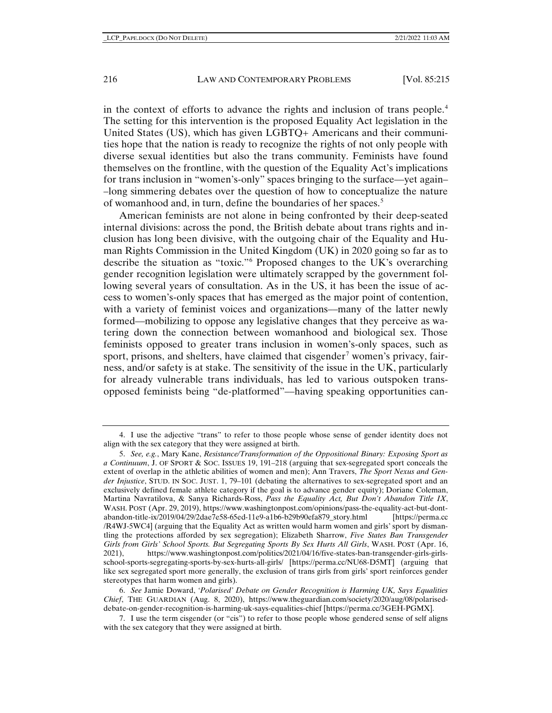in the context of efforts to advance the rights and inclusion of trans people.<sup>[4](#page-1-0)</sup> The setting for this intervention is the proposed Equality Act legislation in the United States (US), which has given LGBTQ+ Americans and their communities hope that the nation is ready to recognize the rights of not only people with diverse sexual identities but also the trans community. Feminists have found themselves on the frontline, with the question of the Equality Act's implications for trans inclusion in "women's-only" spaces bringing to the surface––yet again– –long simmering debates over the question of how to conceptualize the nature of womanhood and, in turn, define the boundaries of her spaces.<sup>[5](#page-1-1)</sup>

American feminists are not alone in being confronted by their deep-seated internal divisions: across the pond, the British debate about trans rights and inclusion has long been divisive, with the outgoing chair of the Equality and Human Rights Commission in the United Kingdom (UK) in 2020 going so far as to describe the situation as "toxic."[6](#page-1-2) Proposed changes to the UK's overarching gender recognition legislation were ultimately scrapped by the government following several years of consultation. As in the US, it has been the issue of access to women's-only spaces that has emerged as the major point of contention, with a variety of feminist voices and organizations––many of the latter newly formed––mobilizing to oppose any legislative changes that they perceive as watering down the connection between womanhood and biological sex. Those feminists opposed to greater trans inclusion in women's-only spaces, such as sport, prisons, and shelters, have claimed that cisgender<sup>[7](#page-1-3)</sup> women's privacy, fairness, and/or safety is at stake. The sensitivity of the issue in the UK, particularly for already vulnerable trans individuals, has led to various outspoken transopposed feminists being "de-platformed"––having speaking opportunities can-

<span id="page-1-0"></span><sup>4.</sup> I use the adjective "trans" to refer to those people whose sense of gender identity does not align with the sex category that they were assigned at birth.

<span id="page-1-1"></span><sup>5.</sup> *See, e.g.*, Mary Kane, *Resistance/Transformation of the Oppositional Binary: Exposing Sport as a Continuum*, J. OF SPORT & SOC. ISSUES 19, 191–218 (arguing that sex-segregated sport conceals the extent of overlap in the athletic abilities of women and men); Ann Travers, *The Sport Nexus and Gender Injustice*, STUD. IN SOC. JUST. 1, 79–101 (debating the alternatives to sex-segregated sport and an exclusively defined female athlete category if the goal is to advance gender equity); Doriane Coleman, Martina Navratilova, & Sanya Richards-Ross, *Pass the Equality Act, But Don't Abandon Title IX*, WASH. POST (Apr. 29, 2019), https://www.washingtonpost.com/opinions/pass-the-equality-act-but-dontabandon-title-ix/2019/04/29/2dae7e58-65ed-11e9-a1b6-b29b90efa879\_story.html [https://perma.cc /R4WJ-5WC4] (arguing that the Equality Act as written would harm women and girls' sport by dismantling the protections afforded by sex segregation); Elizabeth Sharrow, *Five States Ban Transgender Girls from Girls' School Sports. But Segregating Sports By Sex Hurts All Girls*, WASH. POST (Apr. 16, 2021), https://www.washingtonpost.com/politics/2021/04/16/five-states-ban-transgender-girls-girlsschool-sports-segregating-sports-by-sex-hurts-all-girls/ [https://perma.cc/NU68-D5MT] (arguing that like sex segregated sport more generally, the exclusion of trans girls from girls' sport reinforces gender stereotypes that harm women and girls).

<span id="page-1-2"></span><sup>6.</sup> *See* Jamie Doward, *'Polarised' Debate on Gender Recognition is Harming UK, Says Equalities Chief*, THE GUARDIAN (Aug. 8, 2020), https://www.theguardian.com/society/2020/aug/08/polariseddebate-on-gender-recognition-is-harming-uk-says-equalities-chief [https://perma.cc/3GEH-PGMX].

<span id="page-1-3"></span><sup>7.</sup> I use the term cisgender (or "cis") to refer to those people whose gendered sense of self aligns with the sex category that they were assigned at birth.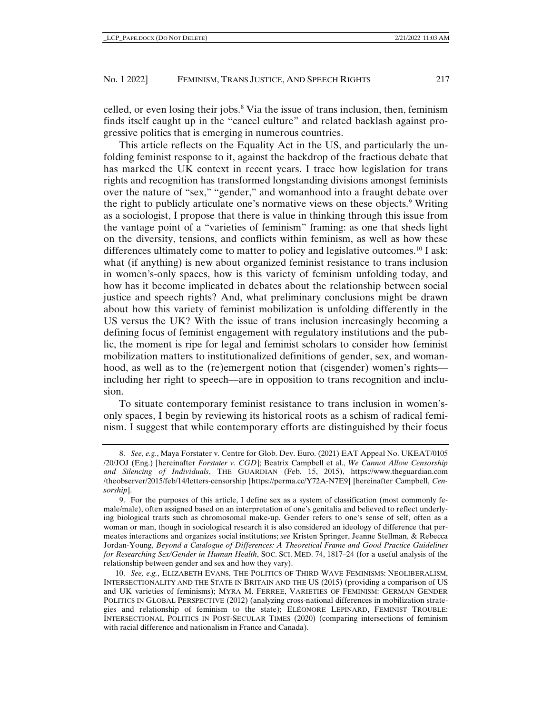celled, or even losing their jobs. $8$  Via the issue of trans inclusion, then, feminism finds itself caught up in the "cancel culture" and related backlash against progressive politics that is emerging in numerous countries.

This article reflects on the Equality Act in the US, and particularly the unfolding feminist response to it, against the backdrop of the fractious debate that has marked the UK context in recent years. I trace how legislation for trans rights and recognition has transformed longstanding divisions amongst feminists over the nature of "sex," "gender," and womanhood into a fraught debate over the right to publicly articulate one's normative views on these objects.[9](#page-2-1) Writing as a sociologist, I propose that there is value in thinking through this issue from the vantage point of a "varieties of feminism" framing: as one that sheds light on the diversity, tensions, and conflicts within feminism, as well as how these differences ultimately come to matter to policy and legislative outcomes.[10](#page-2-2) I ask: what (if anything) is new about organized feminist resistance to trans inclusion in women's-only spaces, how is this variety of feminism unfolding today, and how has it become implicated in debates about the relationship between social justice and speech rights? And, what preliminary conclusions might be drawn about how this variety of feminist mobilization is unfolding differently in the US versus the UK? With the issue of trans inclusion increasingly becoming a defining focus of feminist engagement with regulatory institutions and the public, the moment is ripe for legal and feminist scholars to consider how feminist mobilization matters to institutionalized definitions of gender, sex, and womanhood, as well as to the (re)emergent notion that (cisgender) women's rights–– including her right to speech––are in opposition to trans recognition and inclusion.

To situate contemporary feminist resistance to trans inclusion in women'sonly spaces, I begin by reviewing its historical roots as a schism of radical feminism. I suggest that while contemporary efforts are distinguished by their focus

<span id="page-2-0"></span><sup>8.</sup> *See, e.g.*, Maya Forstater v. Centre for Glob. Dev. Euro. (2021) EAT Appeal No. UKEAT/0105 /20/JOJ (Eng.) [hereinafter *Forstater v. CGD*]; Beatrix Campbell et al., *We Cannot Allow Censorship and Silencing of Individuals*, THE GUARDIAN (Feb. 15, 2015), https://www.theguardian.com /theobserver/2015/feb/14/letters-censorship [https://perma.cc/Y72A-N7E9] [hereinafter Campbell, *Censorship*].

<span id="page-2-1"></span><sup>9.</sup> For the purposes of this article, I define sex as a system of classification (most commonly female/male), often assigned based on an interpretation of one's genitalia and believed to reflect underlying biological traits such as chromosomal make-up. Gender refers to one's sense of self, often as a woman or man, though in sociological research it is also considered an ideology of difference that permeates interactions and organizes social institutions; *see* Kristen Springer, Jeanne Stellman, & Rebecca Jordan-Young, *Beyond a Catalogue of Differences: A Theoretical Frame and Good Practice Guidelines for Researching Sex/Gender in Human Health*, SOC. SCI. MED. 74, 1817–24 (for a useful analysis of the relationship between gender and sex and how they vary).

<span id="page-2-2"></span><sup>10.</sup> *See, e.g.*, ELIZABETH EVANS, THE POLITICS OF THIRD WAVE FEMINISMS: NEOLIBERALISM, INTERSECTIONALITY AND THE STATE IN BRITAIN AND THE US (2015) (providing a comparison of US and UK varieties of feminisms); MYRA M. FERREE, VARIETIES OF FEMINISM: GERMAN GENDER POLITICS IN GLOBAL PERSPECTIVE (2012) (analyzing cross-national differences in mobilization strategies and relationship of feminism to the state); ELÉONORE LEPINARD, FEMINIST TROUBLE: INTERSECTIONAL POLITICS IN POST-SECULAR TIMES (2020) (comparing intersections of feminism with racial difference and nationalism in France and Canada).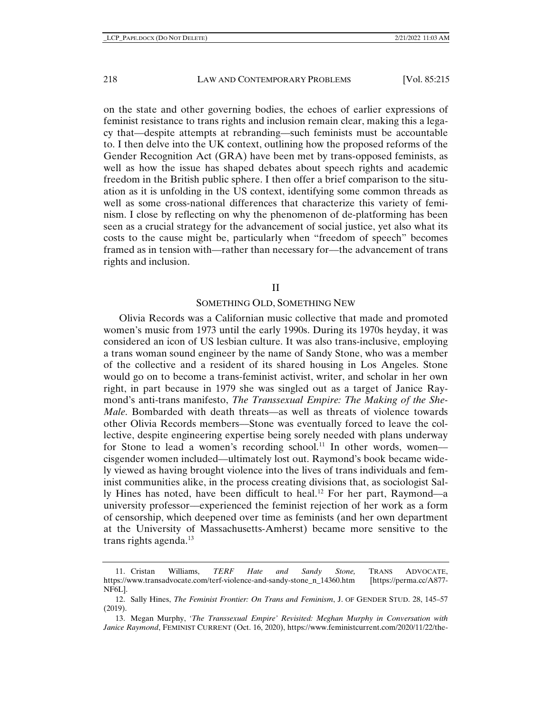on the state and other governing bodies, the echoes of earlier expressions of feminist resistance to trans rights and inclusion remain clear, making this a legacy that––despite attempts at rebranding––such feminists must be accountable to. I then delve into the UK context, outlining how the proposed reforms of the Gender Recognition Act (GRA) have been met by trans-opposed feminists, as well as how the issue has shaped debates about speech rights and academic freedom in the British public sphere. I then offer a brief comparison to the situation as it is unfolding in the US context, identifying some common threads as well as some cross-national differences that characterize this variety of feminism. I close by reflecting on why the phenomenon of de-platforming has been seen as a crucial strategy for the advancement of social justice, yet also what its costs to the cause might be, particularly when "freedom of speech" becomes framed as in tension with––rather than necessary for––the advancement of trans rights and inclusion.

#### II

#### SOMETHING OLD, SOMETHING NEW

Olivia Records was a Californian music collective that made and promoted women's music from 1973 until the early 1990s. During its 1970s heyday, it was considered an icon of US lesbian culture. It was also trans-inclusive, employing a trans woman sound engineer by the name of Sandy Stone, who was a member of the collective and a resident of its shared housing in Los Angeles. Stone would go on to become a trans-feminist activist, writer, and scholar in her own right, in part because in 1979 she was singled out as a target of Janice Raymond's anti-trans manifesto, *The Transsexual Empire: The Making of the She-Male*. Bombarded with death threats––as well as threats of violence towards other Olivia Records members––Stone was eventually forced to leave the collective, despite engineering expertise being sorely needed with plans underway for Stone to lead a women's recording school.<sup>[11](#page-3-0)</sup> In other words, women cisgender women included––ultimately lost out. Raymond's book became widely viewed as having brought violence into the lives of trans individuals and feminist communities alike, in the process creating divisions that, as sociologist Sal-ly Hines has noted, have been difficult to heal.<sup>[12](#page-3-1)</sup> For her part, Raymond—a university professor––experienced the feminist rejection of her work as a form of censorship, which deepened over time as feminists (and her own department at the University of Massachusetts-Amherst) became more sensitive to the trans rights agenda.<sup>[13](#page-3-2)</sup>

<span id="page-3-0"></span><sup>11.</sup> Cristan Williams, *TERF Hate and Sandy Stone,* TRANS ADVOCATE, https://www.transadvocate.com/terf-violence-and-sandy-stone\_n\_14360.htm [https://perma.cc/A877- NF6L].

<span id="page-3-1"></span><sup>12.</sup> Sally Hines, *The Feminist Frontier: On Trans and Feminism*, J. OF GENDER STUD. 28, 145–57 (2019).

<span id="page-3-2"></span><sup>13.</sup> Megan Murphy, *'The Transsexual Empire' Revisited: Meghan Murphy in Conversation with Janice Raymond*, FEMINIST CURRENT (Oct. 16, 2020), https://www.feministcurrent.com/2020/11/22/the-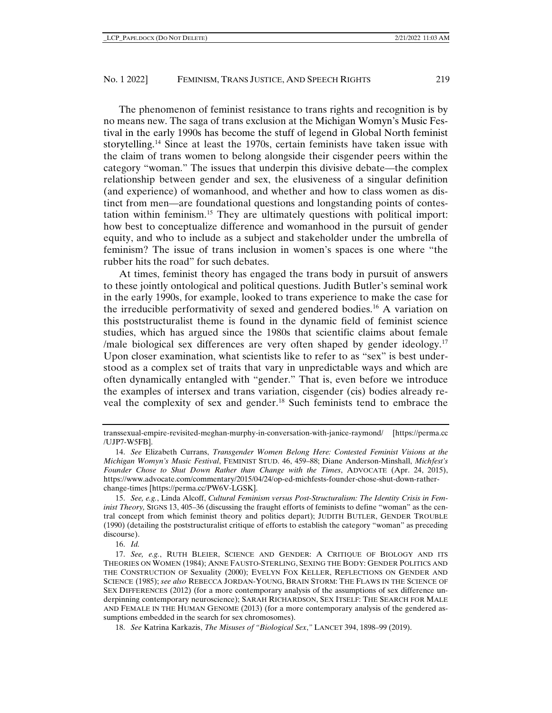The phenomenon of feminist resistance to trans rights and recognition is by no means new. The saga of trans exclusion at the Michigan Womyn's Music Festival in the early 1990s has become the stuff of legend in Global North feminist storytelling.[14](#page-4-0) Since at least the 1970s, certain feminists have taken issue with the claim of trans women to belong alongside their cisgender peers within the category "woman." The issues that underpin this divisive debate––the complex relationship between gender and sex, the elusiveness of a singular definition (and experience) of womanhood, and whether and how to class women as distinct from men––are foundational questions and longstanding points of contestation within feminism.[15](#page-4-1) They are ultimately questions with political import: how best to conceptualize difference and womanhood in the pursuit of gender equity, and who to include as a subject and stakeholder under the umbrella of feminism? The issue of trans inclusion in women's spaces is one where "the rubber hits the road" for such debates.

At times, feminist theory has engaged the trans body in pursuit of answers to these jointly ontological and political questions. Judith Butler's seminal work in the early 1990s, for example, looked to trans experience to make the case for the irreducible performativity of sexed and gendered bodies.[16](#page-4-2) A variation on this poststructuralist theme is found in the dynamic field of feminist science studies, which has argued since the 1980s that scientific claims about female /male biological sex differences are very often shaped by gender ideology[.17](#page-4-3) Upon closer examination, what scientists like to refer to as "sex" is best understood as a complex set of traits that vary in unpredictable ways and which are often dynamically entangled with "gender." That is, even before we introduce the examples of intersex and trans variation, cisgender (cis) bodies already re-veal the complexity of sex and gender.<sup>[18](#page-4-4)</sup> Such feminists tend to embrace the

16. *Id.*

transsexual-empire-revisited-meghan-murphy-in-conversation-with-janice-raymond/ [https://perma.cc /UJP7-W5FB].

<span id="page-4-0"></span><sup>14.</sup> *See* Elizabeth Currans, *Transgender Women Belong Here: Contested Feminist Visions at the Michigan Womyn's Music Festival*, FEMINIST STUD. 46, 459–88; Diane Anderson-Minshall, *Michfest's Founder Chose to Shut Down Rather than Change with the Times*, ADVOCATE (Apr. 24, 2015), https://www.advocate.com/commentary/2015/04/24/op-ed-michfests-founder-chose-shut-down-ratherchange-times [https://perma.cc/PW6V-LGSK].

<span id="page-4-1"></span><sup>15.</sup> *See, e.g.*, Linda Alcoff, *Cultural Feminism versus Post-Structuralism: The Identity Crisis in Feminist Theory,* SIGNS 13, 405–36 (discussing the fraught efforts of feminists to define "woman" as the central concept from which feminist theory and politics depart); JUDITH BUTLER, GENDER TROUBLE (1990) (detailing the poststructuralist critique of efforts to establish the category "woman" as preceding discourse).

<span id="page-4-3"></span><span id="page-4-2"></span><sup>17.</sup> *See, e.g.*, RUTH BLEIER, SCIENCE AND GENDER: A CRITIQUE OF BIOLOGY AND ITS THEORIES ON WOMEN (1984); ANNE FAUSTO-STERLING, SEXING THE BODY: GENDER POLITICS AND THE CONSTRUCTION OF Sexuality (2000); EVELYN FOX KELLER, REFLECTIONS ON GENDER AND SCIENCE (1985); *see also* REBECCA JORDAN-YOUNG, BRAIN STORM: THE FLAWS IN THE SCIENCE OF SEX DIFFERENCES (2012) (for a more contemporary analysis of the assumptions of sex difference underpinning contemporary neuroscience); SARAH RICHARDSON, SEX ITSELF: THE SEARCH FOR MALE AND FEMALE IN THE HUMAN GENOME (2013) (for a more contemporary analysis of the gendered assumptions embedded in the search for sex chromosomes).

<span id="page-4-4"></span><sup>18.</sup> *See* Katrina Karkazis, *The Misuses of "Biological Sex*,*"* LANCET 394, 1898–99 (2019).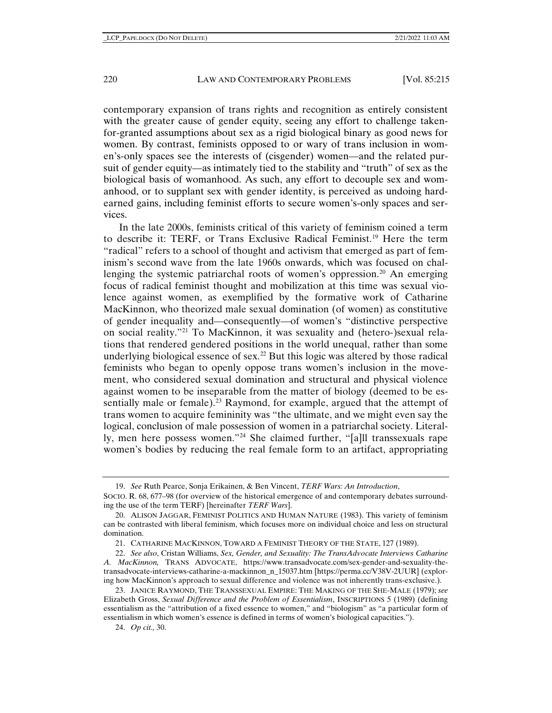contemporary expansion of trans rights and recognition as entirely consistent with the greater cause of gender equity, seeing any effort to challenge takenfor-granted assumptions about sex as a rigid biological binary as good news for women. By contrast, feminists opposed to or wary of trans inclusion in women's-only spaces see the interests of (cisgender) women––and the related pursuit of gender equity––as intimately tied to the stability and "truth" of sex as the biological basis of womanhood. As such, any effort to decouple sex and womanhood, or to supplant sex with gender identity, is perceived as undoing hardearned gains, including feminist efforts to secure women's-only spaces and services.

In the late 2000s, feminists critical of this variety of feminism coined a term to describe it: TERF, or Trans Exclusive Radical Feminist.[19](#page-5-0) Here the term "radical" refers to a school of thought and activism that emerged as part of feminism's second wave from the late 1960s onwards, which was focused on chal-lenging the systemic patriarchal roots of women's oppression.<sup>[20](#page-5-1)</sup> An emerging focus of radical feminist thought and mobilization at this time was sexual violence against women, as exemplified by the formative work of Catharine MacKinnon, who theorized male sexual domination (of women) as constitutive of gender inequality and––consequently––of women's "distinctive perspective on social reality."[21](#page-5-2) To MacKinnon, it was sexuality and (hetero-)sexual relations that rendered gendered positions in the world unequal, rather than some underlying biological essence of sex.<sup>[22](#page-5-3)</sup> But this logic was altered by those radical feminists who began to openly oppose trans women's inclusion in the movement, who considered sexual domination and structural and physical violence against women to be inseparable from the matter of biology (deemed to be es-sentially male or female).<sup>[23](#page-5-4)</sup> Raymond, for example, argued that the attempt of trans women to acquire femininity was "the ultimate, and we might even say the logical, conclusion of male possession of women in a patriarchal society. Literally, men here possess women."[24](#page-5-5) She claimed further, "[a]ll transsexuals rape women's bodies by reducing the real female form to an artifact, appropriating

<sup>19.</sup> *See* Ruth Pearce, Sonja Erikainen, & Ben Vincent, *TERF Wars: An Introduction*,

<span id="page-5-0"></span>SOCIO. R. 68, 677–98 (for overview of the historical emergence of and contemporary debates surrounding the use of the term TERF) [hereinafter *TERF Wars*].

<span id="page-5-1"></span><sup>20.</sup> ALISON JAGGAR, FEMINIST POLITICS AND HUMAN NATURE (1983). This variety of feminism can be contrasted with liberal feminism, which focuses more on individual choice and less on structural domination.

<sup>21.</sup> CATHARINE MACKINNON, TOWARD A FEMINIST THEORY OF THE STATE, 127 (1989).

<span id="page-5-3"></span><span id="page-5-2"></span><sup>22.</sup> *See also*, Cristan Williams, *Sex, Gender, and Sexuality: The TransAdvocate Interviews Catharine A. MacKinnon,* TRANS ADVOCATE, https://www.transadvocate.com/sex-gender-and-sexuality-thetransadvocate-interviews-catharine-a-mackinnon\_n\_15037.htm [https://perma.cc/V38V-2UUR] (exploring how MacKinnon's approach to sexual difference and violence was not inherently trans-exclusive.).

<span id="page-5-5"></span><span id="page-5-4"></span><sup>23.</sup> JANICE RAYMOND, THE TRANSSEXUAL EMPIRE: THE MAKING OF THE SHE-MALE (1979); *see* Elizabeth Gross, *Sexual Difference and the Problem of Essentialism*, INSCRIPTIONS 5 (1989) (defining essentialism as the "attribution of a fixed essence to women," and "biologism" as "a particular form of essentialism in which women's essence is defined in terms of women's biological capacities.").

<sup>24.</sup> *Op cit.,* 30.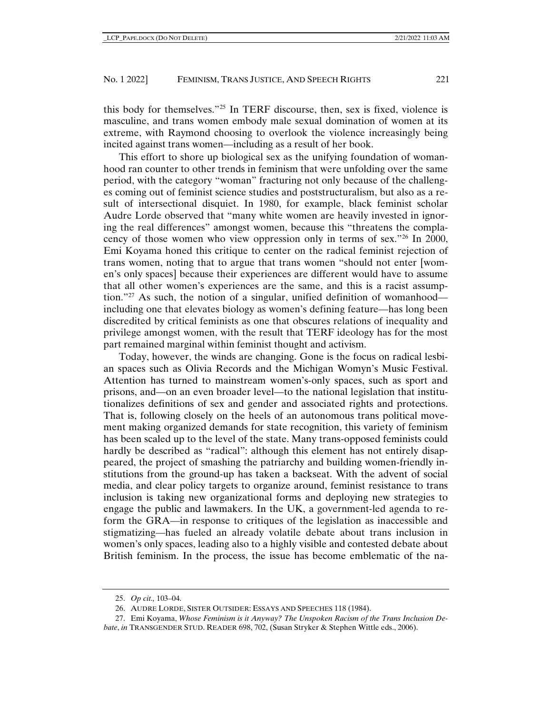this body for themselves."[25](#page-6-0) In TERF discourse, then, sex is fixed, violence is masculine, and trans women embody male sexual domination of women at its extreme, with Raymond choosing to overlook the violence increasingly being incited against trans women—including as a result of her book.

This effort to shore up biological sex as the unifying foundation of womanhood ran counter to other trends in feminism that were unfolding over the same period, with the category "woman" fracturing not only because of the challenges coming out of feminist science studies and poststructuralism, but also as a result of intersectional disquiet. In 1980, for example, black feminist scholar Audre Lorde observed that "many white women are heavily invested in ignoring the real differences" amongst women, because this "threatens the complacency of those women who view oppression only in terms of sex."[26](#page-6-1) In 2000, Emi Koyama honed this critique to center on the radical feminist rejection of trans women, noting that to argue that trans women "should not enter [women's only spaces] because their experiences are different would have to assume that all other women's experiences are the same, and this is a racist assump-tion."<sup>[27](#page-6-2)</sup> As such, the notion of a singular, unified definition of womanhood including one that elevates biology as women's defining feature––has long been discredited by critical feminists as one that obscures relations of inequality and privilege amongst women, with the result that TERF ideology has for the most part remained marginal within feminist thought and activism.

Today, however, the winds are changing. Gone is the focus on radical lesbian spaces such as Olivia Records and the Michigan Womyn's Music Festival. Attention has turned to mainstream women's-only spaces, such as sport and prisons, and––on an even broader level––to the national legislation that institutionalizes definitions of sex and gender and associated rights and protections. That is, following closely on the heels of an autonomous trans political movement making organized demands for state recognition, this variety of feminism has been scaled up to the level of the state. Many trans-opposed feminists could hardly be described as "radical": although this element has not entirely disappeared, the project of smashing the patriarchy and building women-friendly institutions from the ground-up has taken a backseat. With the advent of social media, and clear policy targets to organize around, feminist resistance to trans inclusion is taking new organizational forms and deploying new strategies to engage the public and lawmakers. In the UK, a government-led agenda to reform the GRA––in response to critiques of the legislation as inaccessible and stigmatizing––has fueled an already volatile debate about trans inclusion in women's only spaces, leading also to a highly visible and contested debate about British feminism. In the process, the issue has become emblematic of the na-

<sup>25.</sup> *Op cit.,* 103–04.

<sup>26.</sup> AUDRE LORDE, SISTER OUTSIDER: ESSAYS AND SPEECHES 118 (1984).

<span id="page-6-2"></span><span id="page-6-1"></span><span id="page-6-0"></span><sup>27.</sup> Emi Koyama, *Whose Feminism is it Anyway? The Unspoken Racism of the Trans Inclusion Debate*, *in* TRANSGENDER STUD. READER 698, 702, (Susan Stryker & Stephen Wittle eds., 2006).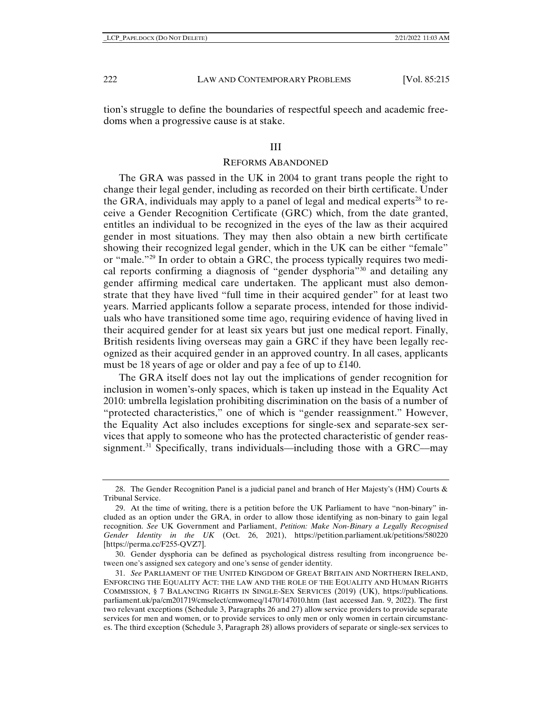tion's struggle to define the boundaries of respectful speech and academic freedoms when a progressive cause is at stake.

## III

# REFORMS ABANDONED

The GRA was passed in the UK in 2004 to grant trans people the right to change their legal gender, including as recorded on their birth certificate. Under the GRA, individuals may apply to a panel of legal and medical experts<sup>[28](#page-7-0)</sup> to receive a Gender Recognition Certificate (GRC) which, from the date granted, entitles an individual to be recognized in the eyes of the law as their acquired gender in most situations. They may then also obtain a new birth certificate showing their recognized legal gender, which in the UK can be either "female" or "male."[29](#page-7-1) In order to obtain a GRC, the process typically requires two medical reports confirming a diagnosis of "gender dysphoria["30](#page-7-2) and detailing any gender affirming medical care undertaken. The applicant must also demonstrate that they have lived "full time in their acquired gender" for at least two years. Married applicants follow a separate process, intended for those individuals who have transitioned some time ago, requiring evidence of having lived in their acquired gender for at least six years but just one medical report. Finally, British residents living overseas may gain a GRC if they have been legally recognized as their acquired gender in an approved country. In all cases, applicants must be 18 years of age or older and pay a fee of up to £140.

The GRA itself does not lay out the implications of gender recognition for inclusion in women's-only spaces, which is taken up instead in the Equality Act 2010: umbrella legislation prohibiting discrimination on the basis of a number of "protected characteristics," one of which is "gender reassignment." However, the Equality Act also includes exceptions for single-sex and separate-sex services that apply to someone who has the protected characteristic of gender reas-signment.<sup>[31](#page-7-3)</sup> Specifically, trans individuals—including those with a GRC—may

<span id="page-7-0"></span><sup>28.</sup> The Gender Recognition Panel is a judicial panel and branch of Her Majesty's (HM) Courts & Tribunal Service.

<span id="page-7-1"></span><sup>29.</sup> At the time of writing, there is a petition before the UK Parliament to have "non-binary" included as an option under the GRA, in order to allow those identifying as non-binary to gain legal recognition. *See* UK Government and Parliament, *Petition: Make Non-Binary a Legally Recognised Gender Identity in the UK* (Oct. 26, 2021), https://petition.parliament.uk/petitions/580220 [https://perma.cc/F255-QVZ7].

<span id="page-7-2"></span><sup>30.</sup> Gender dysphoria can be defined as psychological distress resulting from incongruence between one's assigned sex category and one's sense of gender identity.

<span id="page-7-3"></span><sup>31.</sup> *See* PARLIAMENT OF THE UNITED KINGDOM OF GREAT BRITAIN AND NORTHERN IRELAND, ENFORCING THE EQUALITY ACT: THE LAW AND THE ROLE OF THE EQUALITY AND HUMAN RIGHTS COMMISSION, § 7 BALANCING RIGHTS IN SINGLE-SEX SERVICES (2019) (UK), https://publications. parliament.uk/pa/cm201719/cmselect/cmwomeq/1470/147010.htm (last accessed Jan. 9, 2022). The first two relevant exceptions (Schedule 3, Paragraphs 26 and 27) allow service providers to provide separate services for men and women, or to provide services to only men or only women in certain circumstances. The third exception (Schedule 3, Paragraph 28) allows providers of separate or single-sex services to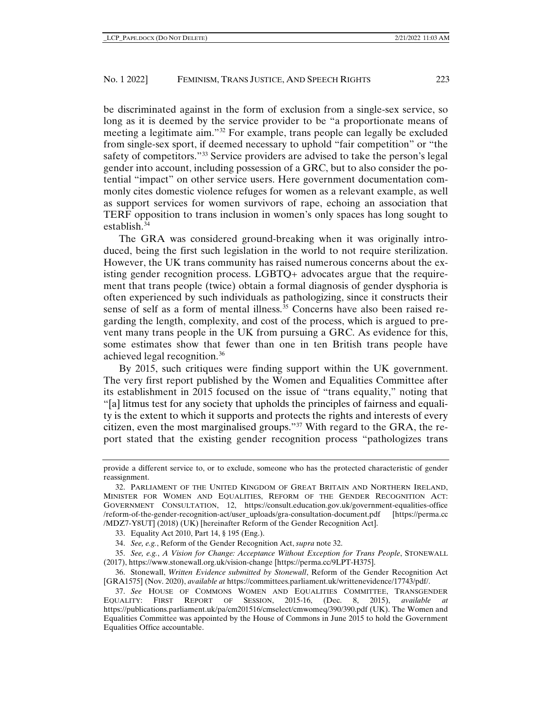be discriminated against in the form of exclusion from a single-sex service, so long as it is deemed by the service provider to be "a proportionate means of meeting a legitimate aim."[32](#page-8-0) For example, trans people can legally be excluded from single-sex sport, if deemed necessary to uphold "fair competition" or "the safety of competitors."[33](#page-8-1) Service providers are advised to take the person's legal gender into account, including possession of a GRC, but to also consider the potential "impact" on other service users. Here government documentation commonly cites domestic violence refuges for women as a relevant example, as well as support services for women survivors of rape, echoing an association that TERF opposition to trans inclusion in women's only spaces has long sought to establish.[34](#page-8-2)

The GRA was considered ground-breaking when it was originally introduced, being the first such legislation in the world to not require sterilization. However, the UK trans community has raised numerous concerns about the existing gender recognition process. LGBTQ+ advocates argue that the requirement that trans people (twice) obtain a formal diagnosis of gender dysphoria is often experienced by such individuals as pathologizing, since it constructs their sense of self as a form of mental illness.<sup>[35](#page-8-3)</sup> Concerns have also been raised regarding the length, complexity, and cost of the process, which is argued to prevent many trans people in the UK from pursuing a GRC. As evidence for this, some estimates show that fewer than one in ten British trans people have achieved legal recognition.[36](#page-8-4)

By 2015, such critiques were finding support within the UK government. The very first report published by the Women and Equalities Committee after its establishment in 2015 focused on the issue of "trans equality," noting that "[a] litmus test for any society that upholds the principles of fairness and equality is the extent to which it supports and protects the rights and interests of every citizen, even the most marginalised groups."[37](#page-8-5) With regard to the GRA, the report stated that the existing gender recognition process "pathologizes trans

provide a different service to, or to exclude, someone who has the protected characteristic of gender reassignment.

<span id="page-8-0"></span><sup>32.</sup> PARLIAMENT OF THE UNITED KINGDOM OF GREAT BRITAIN AND NORTHERN IRELAND, MINISTER FOR WOMEN AND EQUALITIES, REFORM OF THE GENDER RECOGNITION ACT: GOVERNMENT CONSULTATION, 12, https://consult.education.gov.uk/government-equalities-office /reform-of-the-gender-recognition-act/user\_uploads/gra-consultation-document.pdf [https://perma.cc /MDZ7-Y8UT] (2018) (UK) [hereinafter Reform of the Gender Recognition Act].

<sup>33.</sup> Equality Act 2010, Part 14, § 195 (Eng.).

<sup>34.</sup> *See, e.g.*, Reform of the Gender Recognition Act, *supra* note 32.

<span id="page-8-3"></span><span id="page-8-2"></span><span id="page-8-1"></span><sup>35.</sup> *See, e.g.*, *A Vision for Change: Acceptance Without Exception for Trans People*, STONEWALL (2017), https://www.stonewall.org.uk/vision-change [https://perma.cc/9LPT-H375].

<span id="page-8-4"></span><sup>36.</sup> Stonewall, *Written Evidence submitted by Stonewall*, Reform of the Gender Recognition Act [GRA1575] (Nov. 2020), *available at* https://committees.parliament.uk/writtenevidence/17743/pdf/.

<span id="page-8-5"></span><sup>37.</sup> *See* HOUSE OF COMMONS WOMEN AND EQUALITIES COMMITTEE, TRANSGENDER EQUALITY: FIRST REPORT OF SESSION, 2015-16, (Dec. 8, 2015), *available at*  https://publications.parliament.uk/pa/cm201516/cmselect/cmwomeq/390/390.pdf (UK). The Women and Equalities Committee was appointed by the House of Commons in June 2015 to hold the Government Equalities Office accountable.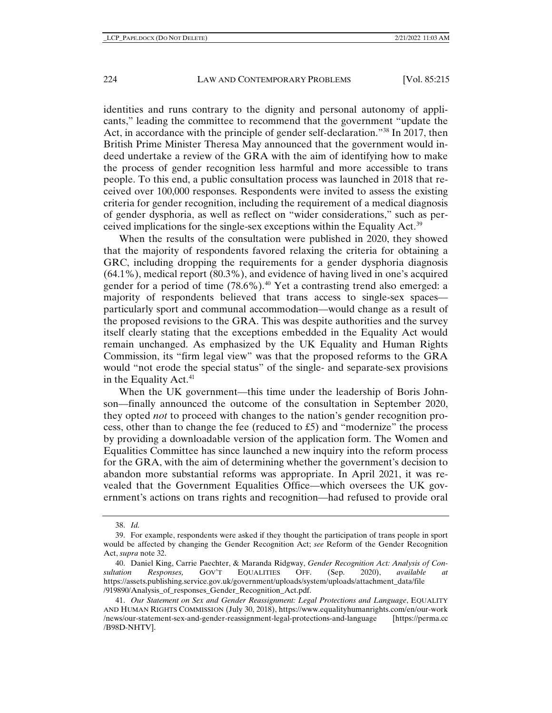identities and runs contrary to the dignity and personal autonomy of applicants," leading the committee to recommend that the government "update the Act, in accordance with the principle of gender self-declaration."<sup>[38](#page-9-0)</sup> In 2017, then British Prime Minister Theresa May announced that the government would indeed undertake a review of the GRA with the aim of identifying how to make the process of gender recognition less harmful and more accessible to trans people. To this end, a public consultation process was launched in 2018 that received over 100,000 responses. Respondents were invited to assess the existing criteria for gender recognition, including the requirement of a medical diagnosis of gender dysphoria, as well as reflect on "wider considerations," such as perceived implications for the single-sex exceptions within the Equality Act.[39](#page-9-1)

When the results of the consultation were published in 2020, they showed that the majority of respondents favored relaxing the criteria for obtaining a GRC, including dropping the requirements for a gender dysphoria diagnosis (64.1%), medical report (80.3%), and evidence of having lived in one's acquired gender for a period of time  $(78.6\%)$ .<sup>[40](#page-9-2)</sup> Yet a contrasting trend also emerged: a majority of respondents believed that trans access to single-sex spaces–– particularly sport and communal accommodation––would change as a result of the proposed revisions to the GRA. This was despite authorities and the survey itself clearly stating that the exceptions embedded in the Equality Act would remain unchanged. As emphasized by the UK Equality and Human Rights Commission, its "firm legal view" was that the proposed reforms to the GRA would "not erode the special status" of the single- and separate-sex provisions in the Equality Act. $41$ 

When the UK government—this time under the leadership of Boris Johnson––finally announced the outcome of the consultation in September 2020, they opted *not* to proceed with changes to the nation's gender recognition process, other than to change the fee (reduced to £5) and "modernize" the process by providing a downloadable version of the application form. The Women and Equalities Committee has since launched a new inquiry into the reform process for the GRA, with the aim of determining whether the government's decision to abandon more substantial reforms was appropriate. In April 2021, it was revealed that the Government Equalities Office––which oversees the UK government's actions on trans rights and recognition––had refused to provide oral

<sup>38.</sup> *Id.*

<span id="page-9-1"></span><span id="page-9-0"></span><sup>39.</sup> For example, respondents were asked if they thought the participation of trans people in sport would be affected by changing the Gender Recognition Act; *see* Reform of the Gender Recognition Act, *supra* note 32.

<span id="page-9-2"></span><sup>40.</sup> Daniel King, Carrie Paechter, & Maranda Ridgway, *Gender Recognition Act: Analysis of Consultation Responses,* GOV'T EQUALITIES OFF. (Sep. 2020), *available at*  https://assets.publishing.service.gov.uk/government/uploads/system/uploads/attachment\_data/file /919890/Analysis\_of\_responses\_Gender\_Recognition\_Act.pdf.

<span id="page-9-3"></span><sup>41.</sup> *Our Statement on Sex and Gender Reassignment: Legal Protections and Language*, EQUALITY AND HUMAN RIGHTS COMMISSION (July 30, 2018), https://www.equalityhumanrights.com/en/our-work /news/our-statement-sex-and-gender-reassignment-legal-protections-and-language [https://perma.cc /B98D-NHTV].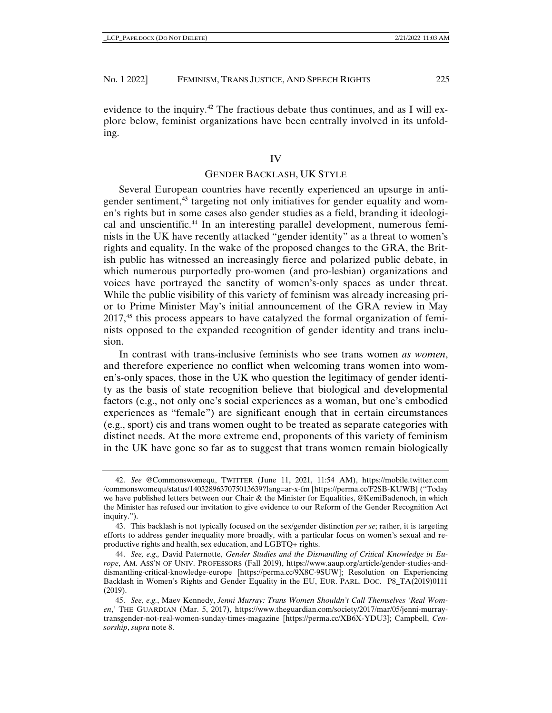evidence to the inquiry.<sup>[42](#page-10-0)</sup> The fractious debate thus continues, and as I will explore below, feminist organizations have been centrally involved in its unfolding.

#### IV

## GENDER BACKLASH, UK STYLE

Several European countries have recently experienced an upsurge in anti-gender sentiment,<sup>[43](#page-10-1)</sup> targeting not only initiatives for gender equality and women's rights but in some cases also gender studies as a field, branding it ideological and unscientific.[44](#page-10-2) In an interesting parallel development, numerous feminists in the UK have recently attacked "gender identity" as a threat to women's rights and equality. In the wake of the proposed changes to the GRA, the British public has witnessed an increasingly fierce and polarized public debate, in which numerous purportedly pro-women (and pro-lesbian) organizations and voices have portrayed the sanctity of women's-only spaces as under threat. While the public visibility of this variety of feminism was already increasing prior to Prime Minister May's initial announcement of the GRA review in May  $2017<sup>45</sup>$  $2017<sup>45</sup>$  $2017<sup>45</sup>$  this process appears to have catalyzed the formal organization of feminists opposed to the expanded recognition of gender identity and trans inclusion.

In contrast with trans-inclusive feminists who see trans women *as women*, and therefore experience no conflict when welcoming trans women into women's-only spaces, those in the UK who question the legitimacy of gender identity as the basis of state recognition believe that biological and developmental factors (e.g., not only one's social experiences as a woman, but one's embodied experiences as "female") are significant enough that in certain circumstances (e.g., sport) cis and trans women ought to be treated as separate categories with distinct needs. At the more extreme end, proponents of this variety of feminism in the UK have gone so far as to suggest that trans women remain biologically

<span id="page-10-0"></span><sup>42.</sup> *See* @Commonswomequ, TWITTER (June 11, 2021, 11:54 AM), https://mobile.twitter.com /commonswomequ/status/1403289637075013639?lang=ar-x-fm [https://perma.cc/F2SB-KUWB] ("Today we have published letters between our Chair & the Minister for Equalities, @KemiBadenoch, in which the Minister has refused our invitation to give evidence to our Reform of the Gender Recognition Act inquiry.").

<span id="page-10-1"></span><sup>43.</sup> This backlash is not typically focused on the sex/gender distinction *per se*; rather, it is targeting efforts to address gender inequality more broadly, with a particular focus on women's sexual and reproductive rights and health, sex education, and LGBTQ+ rights.

<span id="page-10-2"></span><sup>44.</sup> *See, e.g*.*,* David Paternotte, *Gender Studies and the Dismantling of Critical Knowledge in Europe*, AM. ASS'N OF UNIV. PROFESSORS (Fall 2019), https://www.aaup.org/article/gender-studies-anddismantling-critical-knowledge-europe [https://perma.cc/9X8C-9SUW]; Resolution on Experiencing Backlash in Women's Rights and Gender Equality in the EU, EUR. PARL. DOC. P8\_TA(2019)0111 (2019).

<span id="page-10-3"></span><sup>45.</sup> *See, e.g.*, Maev Kennedy, *Jenni Murray: Trans Women Shouldn't Call Themselves 'Real Women*,*'* THE GUARDIAN (Mar. 5, 2017), https://www.theguardian.com/society/2017/mar/05/jenni-murraytransgender-not-real-women-sunday-times-magazine [https://perma.cc/XB6X-YDU3]; Campbell, *Censorship*, *supra* note 8.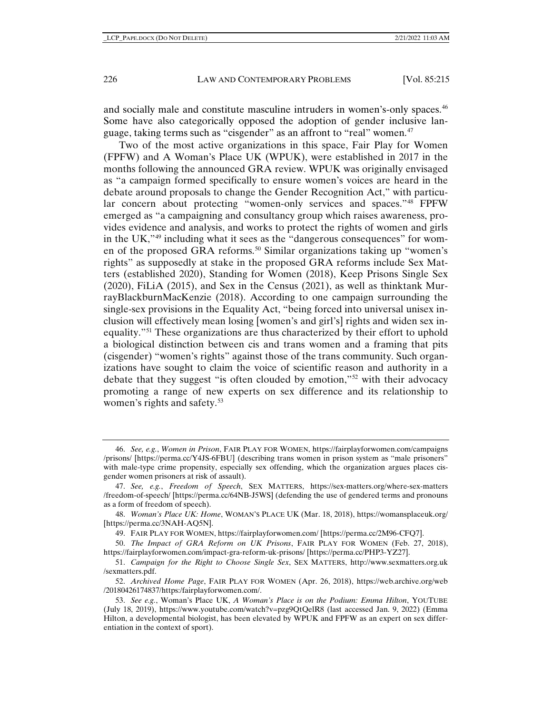and socially male and constitute masculine intruders in women's-only spaces.<sup>46</sup> Some have also categorically opposed the adoption of gender inclusive lan-guage, taking terms such as "cisgender" as an affront to "real" women.<sup>[47](#page-11-1)</sup>

Two of the most active organizations in this space, Fair Play for Women (FPFW) and A Woman's Place UK (WPUK), were established in 2017 in the months following the announced GRA review. WPUK was originally envisaged as "a campaign formed specifically to ensure women's voices are heard in the debate around proposals to change the Gender Recognition Act," with particular concern about protecting "women-only services and spaces."[48](#page-11-2) FPFW emerged as "a campaigning and consultancy group which raises awareness, provides evidence and analysis, and works to protect the rights of women and girls in the UK,["49](#page-11-3) including what it sees as the "dangerous consequences" for wom-en of the proposed GRA reforms.<sup>[50](#page-11-4)</sup> Similar organizations taking up "women's rights" as supposedly at stake in the proposed GRA reforms include Sex Matters (established 2020), Standing for Women (2018), Keep Prisons Single Sex (2020), FiLiA (2015), and Sex in the Census (2021), as well as thinktank MurrayBlackburnMacKenzie (2018). According to one campaign surrounding the single-sex provisions in the Equality Act, "being forced into universal unisex inclusion will effectively mean losing [women's and girl's] rights and widen sex inequality."[51](#page-11-5) These organizations are thus characterized by their effort to uphold a biological distinction between cis and trans women and a framing that pits (cisgender) "women's rights" against those of the trans community. Such organizations have sought to claim the voice of scientific reason and authority in a debate that they suggest "is often clouded by emotion,"[52](#page-11-6) with their advocacy promoting a range of new experts on sex difference and its relationship to women's rights and safety.<sup>[53](#page-11-7)</sup>

<span id="page-11-0"></span><sup>46.</sup> *See, e.g.*, *Women in Prison*, FAIR PLAY FOR WOMEN, https://fairplayforwomen.com/campaigns /prisons/ [https://perma.cc/Y4JS-6FBU] (describing trans women in prison system as "male prisoners" with male-type crime propensity, especially sex offending, which the organization argues places cisgender women prisoners at risk of assault).

<span id="page-11-1"></span><sup>47.</sup> *See, e.g.*, *Freedom of Speech*, SEX MATTERS, https://sex-matters.org/where-sex-matters /freedom-of-speech/ [https://perma.cc/64NB-J5WS] (defending the use of gendered terms and pronouns as a form of freedom of speech).

<span id="page-11-2"></span><sup>48.</sup> *Woman's Place UK: Home*, WOMAN'S PLACE UK (Mar. 18, 2018), https://womansplaceuk.org/ [https://perma.cc/3NAH-AQ5N].

<sup>49.</sup> FAIR PLAY FOR WOMEN, https://fairplayforwomen.com/ [https://perma.cc/2M96-CFQ7].

<span id="page-11-4"></span><span id="page-11-3"></span><sup>50.</sup> *The Impact of GRA Reform on UK Prisons*, FAIR PLAY FOR WOMEN (Feb. 27, 2018), https://fairplayforwomen.com/impact-gra-reform-uk-prisons/ [https://perma.cc/PHP3-YZ27].

<span id="page-11-5"></span><sup>51.</sup> *Campaign for the Right to Choose Single Sex*, SEX MATTERS, http://www.sexmatters.org.uk /sexmatters.pdf.

<span id="page-11-6"></span><sup>52.</sup> *Archived Home Page*, FAIR PLAY FOR WOMEN (Apr. 26, 2018), https://web.archive.org/web /20180426174837/https:/fairplayforwomen.com/.

<span id="page-11-7"></span><sup>53.</sup> *See e.g.*, Woman's Place UK, *A Woman's Place is on the Podium: Emma Hilton*, YOUTUBE (July 18, 2019), https://www.youtube.com/watch?v=pzg9QtQelR8 (last accessed Jan. 9, 2022) (Emma Hilton, a developmental biologist, has been elevated by WPUK and FPFW as an expert on sex differentiation in the context of sport).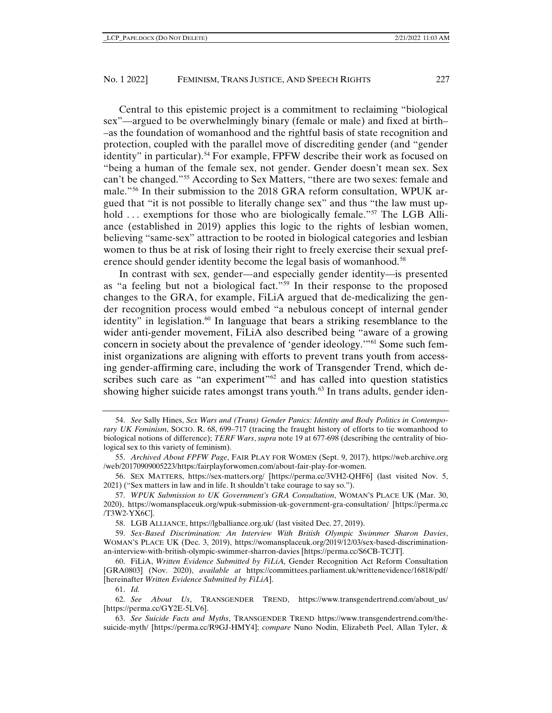Central to this epistemic project is a commitment to reclaiming "biological sex"––argued to be overwhelmingly binary (female or male) and fixed at birth– –as the foundation of womanhood and the rightful basis of state recognition and protection, coupled with the parallel move of discrediting gender (and "gender identity" in particular).<sup>[54](#page-12-0)</sup> For example, FPFW describe their work as focused on "being a human of the female sex, not gender. Gender doesn't mean sex. Sex can't be changed."[55](#page-12-1) According to Sex Matters, "there are two sexes: female and male."[56](#page-12-2) In their submission to the 2018 GRA reform consultation, WPUK argued that "it is not possible to literally change sex" and thus "the law must up-hold ... exemptions for those who are biologically female."<sup>[57](#page-12-3)</sup> The LGB Alliance (established in 2019) applies this logic to the rights of lesbian women, believing "same-sex" attraction to be rooted in biological categories and lesbian women to thus be at risk of losing their right to freely exercise their sexual pref-erence should gender identity become the legal basis of womanhood.<sup>[58](#page-12-4)</sup>

In contrast with sex, gender—and especially gender identity—is presented as "a feeling but not a biological fact."[59](#page-12-5) In their response to the proposed changes to the GRA, for example, FiLiA argued that de-medicalizing the gender recognition process would embed "a nebulous concept of internal gender identity" in legislation.<sup>[60](#page-12-6)</sup> In language that bears a striking resemblance to the wider anti-gender movement, FiLiA also described being "aware of a growing concern in society about the prevalence of 'gender ideology.'["61](#page-12-7) Some such feminist organizations are aligning with efforts to prevent trans youth from accessing gender-affirming care, including the work of Transgender Trend, which describes such care as "an experiment" $62$  and has called into question statistics showing higher suicide rates amongst trans youth.<sup>[63](#page-12-9)</sup> In trans adults, gender iden-

<span id="page-12-0"></span><sup>54.</sup> *See* Sally Hines, *Sex Wars and (Trans) Gender Panics: Identity and Body Politics in Contemporary UK Feminism*, SOCIO. R. 68, 699–717 (tracing the fraught history of efforts to tie womanhood to biological notions of difference); *TERF Wars*, *supra* note 19 at 677-698 (describing the centrality of biological sex to this variety of feminism).

<span id="page-12-1"></span><sup>55.</sup> *Archived About FPFW Page*, FAIR PLAY FOR WOMEN (Sept. 9, 2017), https://web.archive.org /web/20170909005223/https:/fairplayforwomen.com/about-fair-play-for-women.

<span id="page-12-2"></span><sup>56.</sup> SEX MATTERS, https://sex-matters.org/ [https://perma.cc/3VH2-QHF6] (last visited Nov. 5, 2021) ("Sex matters in law and in life. It shouldn't take courage to say so.").

<span id="page-12-3"></span><sup>57.</sup> *WPUK Submission to UK Government's GRA Consultation*, WOMAN'S PLACE UK (Mar. 30, 2020), https://womansplaceuk.org/wpuk-submission-uk-government-gra-consultation/ [https://perma.cc /T3W2-YX6C].

<sup>58.</sup> LGB ALLIANCE, https://lgballiance.org.uk/ (last visited Dec. 27, 2019).

<span id="page-12-5"></span><span id="page-12-4"></span><sup>59.</sup> *Sex-Based Discrimination: An Interview With British Olympic Swimmer Sharon Davies*, WOMAN'S PLACE UK (Dec. 3, 2019), https://womansplaceuk.org/2019/12/03/sex-based-discriminationan-interview-with-british-olympic-swimmer-sharron-davies [https://perma.cc/S6CB-TCJT].

<span id="page-12-6"></span><sup>60.</sup> FiLiA, *Written Evidence Submitted by FiLiA,* Gender Recognition Act Reform Consultation [GRA0803] (Nov. 2020), *available at* https://committees.parliament.uk/writtenevidence/16818/pdf/ [hereinafter *Written Evidence Submitted by FiLiA*].

<sup>61.</sup> *Id.*

<span id="page-12-8"></span><span id="page-12-7"></span><sup>62.</sup> *See About Us*, TRANSGENDER TREND, https://www.transgendertrend.com/about\_us/ [https://perma.cc/GY2E-5LV6].

<span id="page-12-9"></span><sup>63.</sup> *See Suicide Facts and Myths*, TRANSGENDER TREND https://www.transgendertrend.com/thesuicide-myth/ [https://perma.cc/R9GJ-HMY4]; *compare* Nuno Nodin, Elizabeth Peel, Allan Tyler, &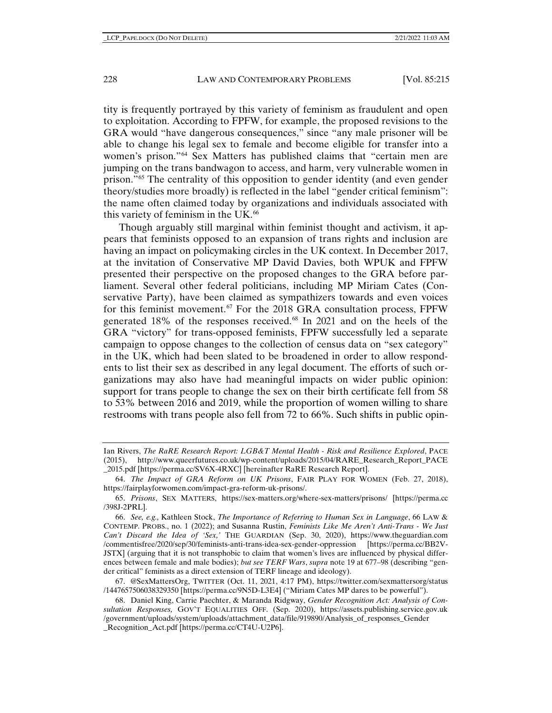tity is frequently portrayed by this variety of feminism as fraudulent and open to exploitation. According to FPFW, for example, the proposed revisions to the GRA would "have dangerous consequences," since "any male prisoner will be able to change his legal sex to female and become eligible for transfer into a women's prison."[64](#page-13-0) Sex Matters has published claims that "certain men are jumping on the trans bandwagon to access, and harm, very vulnerable women in prison."[65](#page-13-1) The centrality of this opposition to gender identity (and even gender theory/studies more broadly) is reflected in the label "gender critical feminism": the name often claimed today by organizations and individuals associated with this variety of feminism in the UK.<sup>[66](#page-13-2)</sup>

Though arguably still marginal within feminist thought and activism, it appears that feminists opposed to an expansion of trans rights and inclusion are having an impact on policymaking circles in the UK context. In December 2017, at the invitation of Conservative MP David Davies, both WPUK and FPFW presented their perspective on the proposed changes to the GRA before parliament. Several other federal politicians, including MP Miriam Cates (Conservative Party), have been claimed as sympathizers towards and even voices for this feminist movement.<sup>[67](#page-13-3)</sup> For the 2018 GRA consultation process, FPFW generated 18% of the responses received.<sup>[68](#page-13-4)</sup> In 2021 and on the heels of the GRA "victory" for trans-opposed feminists, FPFW successfully led a separate campaign to oppose changes to the collection of census data on "sex category" in the UK, which had been slated to be broadened in order to allow respondents to list their sex as described in any legal document. The efforts of such organizations may also have had meaningful impacts on wider public opinion: support for trans people to change the sex on their birth certificate fell from 58 to 53% between 2016 and 2019, while the proportion of women willing to share restrooms with trans people also fell from 72 to 66%. Such shifts in public opin-

Ian Rivers, *The RaRE Research Report: LGB&T Mental Health - Risk and Resilience Explored*, PACE (2015), http://www.queerfutures.co.uk/wp-content/uploads/2015/04/RARE\_Research\_Report\_PACE \_2015.pdf [https://perma.cc/SV6X-4RXC] [hereinafter RaRE Research Report].

<span id="page-13-0"></span><sup>64.</sup> *The Impact of GRA Reform on UK Prisons*, FAIR PLAY FOR WOMEN (Feb. 27, 2018), https://fairplayforwomen.com/impact-gra-reform-uk-prisons/.

<span id="page-13-1"></span><sup>65.</sup> *Prisons*, SEX MATTERS, https://sex-matters.org/where-sex-matters/prisons/ [https://perma.cc /398J-2PRL].

<span id="page-13-2"></span><sup>66.</sup> *See, e.g.,* Kathleen Stock, *The Importance of Referring to Human Sex in Language*, 66 LAW & CONTEMP. PROBS., no. 1 (2022); and Susanna Rustin, *Feminists Like Me Aren't Anti-Trans - We Just Can't Discard the Idea of 'Sex,'* THE GUARDIAN (Sep. 30, 2020), https://www.theguardian.com /commentisfree/2020/sep/30/feminists-anti-trans-idea-sex-gender-oppression [https://perma.cc/BB2V-JSTX] (arguing that it is not transphobic to claim that women's lives are influenced by physical differences between female and male bodies); *but see TERF Wars*, *supra* note 19 at 677–98 (describing "gender critical" feminists as a direct extension of TERF lineage and ideology).

<span id="page-13-3"></span><sup>67.</sup> @SexMattersOrg, TWITTER (Oct. 11, 2021, 4:17 PM), https://twitter.com/sexmattersorg/status /1447657506038329350 [https://perma.cc/9N5D-L3E4] ("Miriam Cates MP dares to be powerful").

<span id="page-13-4"></span><sup>68.</sup> Daniel King, Carrie Paechter, & Maranda Ridgway, *Gender Recognition Act: Analysis of Consultation Responses,* GOV'T EQUALITIES OFF. (Sep. 2020), https://assets.publishing.service.gov.uk /government/uploads/system/uploads/attachment\_data/file/919890/Analysis\_of\_responses\_Gender \_Recognition\_Act.pdf [https://perma.cc/CT4U-U2P6].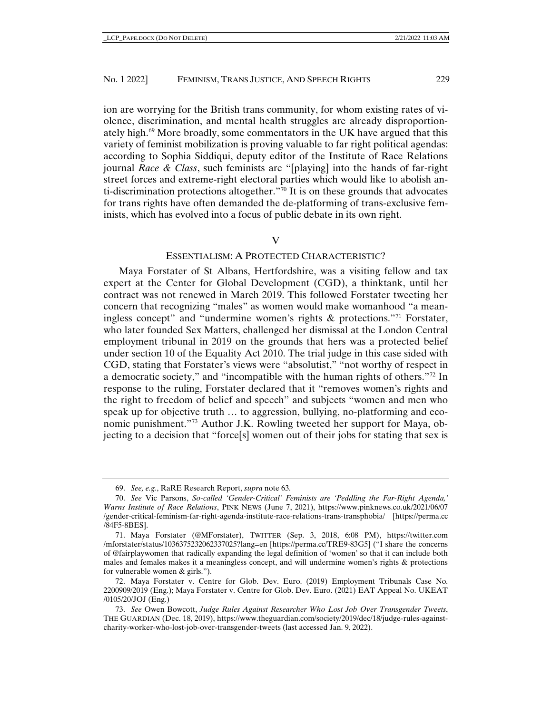ion are worrying for the British trans community, for whom existing rates of violence, discrimination, and mental health struggles are already disproportionately high.[69](#page-14-0) More broadly, some commentators in the UK have argued that this variety of feminist mobilization is proving valuable to far right political agendas: according to Sophia Siddiqui, deputy editor of the Institute of Race Relations journal *Race & Class*, such feminists are "[playing] into the hands of far-right street forces and extreme-right electoral parties which would like to abolish anti-discrimination protections altogether. $\cdot^{\eta}$  It is on these grounds that advocates for trans rights have often demanded the de-platforming of trans-exclusive feminists, which has evolved into a focus of public debate in its own right.

# $\overline{V}$

# ESSENTIALISM: A PROTECTED CHARACTERISTIC?

Maya Forstater of St Albans, Hertfordshire, was a visiting fellow and tax expert at the Center for Global Development (CGD), a thinktank, until her contract was not renewed in March 2019. This followed Forstater tweeting her concern that recognizing "males" as women would make womanhood "a meaningless concept" and "undermine women's rights  $\&$  protections."<sup>[71](#page-14-2)</sup> Forstater, who later founded Sex Matters, challenged her dismissal at the London Central employment tribunal in 2019 on the grounds that hers was a protected belief under section 10 of the Equality Act 2010. The trial judge in this case sided with CGD, stating that Forstater's views were "absolutist," "not worthy of respect in a democratic society," and "incompatible with the human rights of others."[72](#page-14-3) In response to the ruling, Forstater declared that it "removes women's rights and the right to freedom of belief and speech" and subjects "women and men who speak up for objective truth … to aggression, bullying, no-platforming and economic punishment."[73](#page-14-4) Author J.K. Rowling tweeted her support for Maya, objecting to a decision that "force[s] women out of their jobs for stating that sex is

<sup>69.</sup> *See, e.g.*, RaRE Research Report, *supra* note 63.

<span id="page-14-1"></span><span id="page-14-0"></span><sup>70.</sup> *See* Vic Parsons, *So-called 'Gender-Critical' Feminists are 'Peddling the Far-Right Agenda,' Warns Institute of Race Relations*, PINK NEWS (June 7, 2021), https://www.pinknews.co.uk/2021/06/07 /gender-critical-feminism-far-right-agenda-institute-race-relations-trans-transphobia/ [https://perma.cc /84F5-8BES].

<span id="page-14-2"></span><sup>71.</sup> Maya Forstater (@MForstater), TWITTER (Sep. 3, 2018, 6:08 PM), https://twitter.com /mforstater/status/1036375232062337025?lang=en [https://perma.cc/TRE9-83G5] ("I share the concerns of @fairplaywomen that radically expanding the legal definition of 'women' so that it can include both males and females makes it a meaningless concept, and will undermine women's rights & protections for vulnerable women & girls.").

<span id="page-14-3"></span><sup>72.</sup> Maya Forstater v. Centre for Glob. Dev. Euro. (2019) Employment Tribunals Case No. 2200909/2019 (Eng.); Maya Forstater v. Centre for Glob. Dev. Euro. (2021) EAT Appeal No. UKEAT /0105/20/JOJ (Eng.)

<span id="page-14-4"></span><sup>73.</sup> *See* Owen Bowcott, *Judge Rules Against Researcher Who Lost Job Over Transgender Tweets*, THE GUARDIAN (Dec. 18, 2019), https://www.theguardian.com/society/2019/dec/18/judge-rules-againstcharity-worker-who-lost-job-over-transgender-tweets (last accessed Jan. 9, 2022).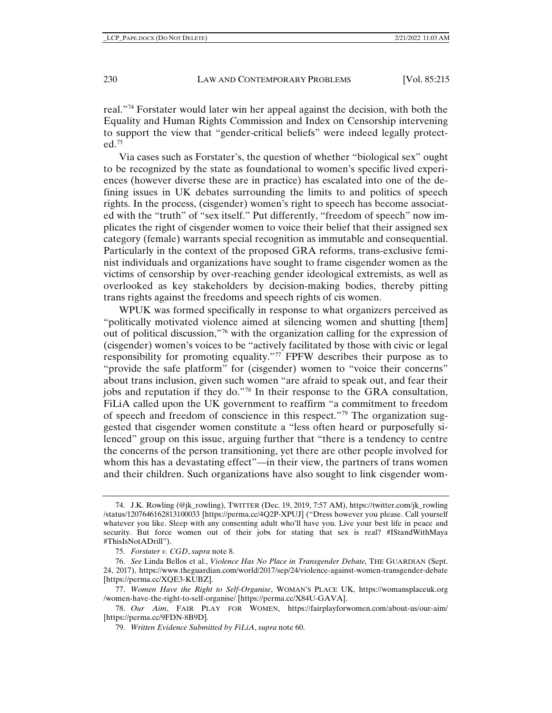real."[74](#page-15-0) Forstater would later win her appeal against the decision, with both the Equality and Human Rights Commission and Index on Censorship intervening to support the view that "gender-critical beliefs" were indeed legally protected.[75](#page-15-1)

Via cases such as Forstater's, the question of whether "biological sex" ought to be recognized by the state as foundational to women's specific lived experiences (however diverse these are in practice) has escalated into one of the defining issues in UK debates surrounding the limits to and politics of speech rights. In the process, (cisgender) women's right to speech has become associated with the "truth" of "sex itself." Put differently, "freedom of speech" now implicates the right of cisgender women to voice their belief that their assigned sex category (female) warrants special recognition as immutable and consequential. Particularly in the context of the proposed GRA reforms, trans-exclusive feminist individuals and organizations have sought to frame cisgender women as the victims of censorship by over-reaching gender ideological extremists, as well as overlooked as key stakeholders by decision-making bodies, thereby pitting trans rights against the freedoms and speech rights of cis women.

WPUK was formed specifically in response to what organizers perceived as "politically motivated violence aimed at silencing women and shutting [them] out of political discussion,"[76](#page-15-2) with the organization calling for the expression of (cisgender) women's voices to be "actively facilitated by those with civic or legal responsibility for promoting equality."[77](#page-15-3) FPFW describes their purpose as to "provide the safe platform" for (cisgender) women to "voice their concerns" about trans inclusion, given such women "are afraid to speak out, and fear their jobs and reputation if they do."[78](#page-15-4) In their response to the GRA consultation, FiLiA called upon the UK government to reaffirm "a commitment to freedom of speech and freedom of conscience in this respect."<sup>[79](#page-15-5)</sup> The organization suggested that cisgender women constitute a "less often heard or purposefully silenced" group on this issue, arguing further that "there is a tendency to centre the concerns of the person transitioning, yet there are other people involved for whom this has a devastating effect"—in their view, the partners of trans women and their children. Such organizations have also sought to link cisgender wom-

<span id="page-15-0"></span><sup>74.</sup> J.K. Rowling (@jk\_rowling), TWITTER (Dec. 19, 2019, 7:57 AM), https://twitter.com/jk\_rowling /status/1207646162813100033 [https://perma.cc/4Q2P-XPUJ] ("Dress however you please. Call yourself whatever you like. Sleep with any consenting adult who'll have you. Live your best life in peace and security. But force women out of their jobs for stating that sex is real? #IStandWithMaya #ThisIsNotADrill").

<sup>75.</sup> *Forstater v. CGD*, *supra* note 8.

<span id="page-15-2"></span><span id="page-15-1"></span><sup>76.</sup> *See* Linda Bellos et al., *Violence Has No Place in Transgender Debate,* THE GUARDIAN (Sept. 24, 2017), https://www.theguardian.com/world/2017/sep/24/violence-against-women-transgender-debate [https://perma.cc/XQE3-KUBZ].

<span id="page-15-3"></span><sup>77.</sup> *Women Have the Right to Self-Organise*, WOMAN'S PLACE UK, https://womansplaceuk.org /women-have-the-right-to-self-organise/ [https://perma.cc/X84U-GAVA].

<span id="page-15-5"></span><span id="page-15-4"></span><sup>78.</sup> *Our Aim*, FAIR PLAY FOR WOMEN, https://fairplayforwomen.com/about-us/our-aim/ [https://perma.cc/9FDN-8B9D].

<sup>79.</sup> *Written Evidence Submitted by FiLiA*, *supra* note 60.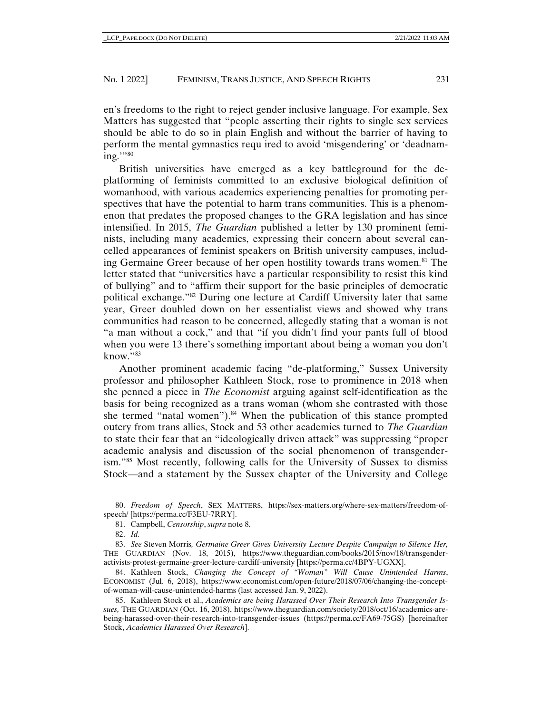en's freedoms to the right to reject gender inclusive language. For example, Sex Matters has suggested that "people asserting their rights to single sex services should be able to do so in plain English and without the barrier of having to perform the mental gymnastics requ ired to avoid 'misgendering' or 'deadnaming."<sup>80</sup>

British universities have emerged as a key battleground for the deplatforming of feminists committed to an exclusive biological definition of womanhood, with various academics experiencing penalties for promoting perspectives that have the potential to harm trans communities. This is a phenomenon that predates the proposed changes to the GRA legislation and has since intensified. In 2015, *The Guardian* published a letter by 130 prominent feminists, including many academics, expressing their concern about several cancelled appearances of feminist speakers on British university campuses, includ-ing Germaine Greer because of her open hostility towards trans women.<sup>[81](#page-16-1)</sup> The letter stated that "universities have a particular responsibility to resist this kind of bullying" and to "affirm their support for the basic principles of democratic political exchange."[82](#page-16-2) During one lecture at Cardiff University later that same year, Greer doubled down on her essentialist views and showed why trans communities had reason to be concerned, allegedly stating that a woman is not "a man without a cock," and that "if you didn't find your pants full of blood when you were 13 there's something important about being a woman you don't know."[83](#page-16-3)

Another prominent academic facing "de-platforming," Sussex University professor and philosopher Kathleen Stock, rose to prominence in 2018 when she penned a piece in *The Economist* arguing against self-identification as the basis for being recognized as a trans woman (whom she contrasted with those she termed "natal women"). $84$  When the publication of this stance prompted outcry from trans allies, Stock and 53 other academics turned to *The Guardian* to state their fear that an "ideologically driven attack" was suppressing "proper academic analysis and discussion of the social phenomenon of transgenderism."[85](#page-16-5) Most recently, following calls for the University of Sussex to dismiss Stock––and a statement by the Sussex chapter of the University and College

<span id="page-16-1"></span><span id="page-16-0"></span><sup>80.</sup> *Freedom of Speech*, SEX MATTERS, https://sex-matters.org/where-sex-matters/freedom-ofspeech/ [https://perma.cc/F3EU-7RRY].

<sup>81.</sup> Campbell, *Censorship*, *supra* note 8.

<sup>82.</sup> *Id.*

<span id="page-16-3"></span><span id="page-16-2"></span><sup>83.</sup> *See* Steven Morris*, Germaine Greer Gives University Lecture Despite Campaign to Silence Her,* THE GUARDIAN (Nov. 18, 2015), https://www.theguardian.com/books/2015/nov/18/transgenderactivists-protest-germaine-greer-lecture-cardiff-university [https://perma.cc/4BPY-UGXX].

<span id="page-16-4"></span><sup>84.</sup> Kathleen Stock, *Changing the Concept of "Woman" Will Cause Unintended Harms*, ECONOMIST (Jul. 6, 2018), https://www.economist.com/open-future/2018/07/06/changing-the-conceptof-woman-will-cause-unintended-harms (last accessed Jan. 9, 2022).

<span id="page-16-5"></span><sup>85.</sup> Kathleen Stock et al., *Academics are being Harassed Over Their Research Into Transgender Issues,* THE GUARDIAN (Oct. 16, 2018), https://www.theguardian.com/society/2018/oct/16/academics-arebeing-harassed-over-their-research-into-transgender-issues (https://perma.cc/FA69-75GS) [hereinafter Stock, *Academics Harassed Over Research*].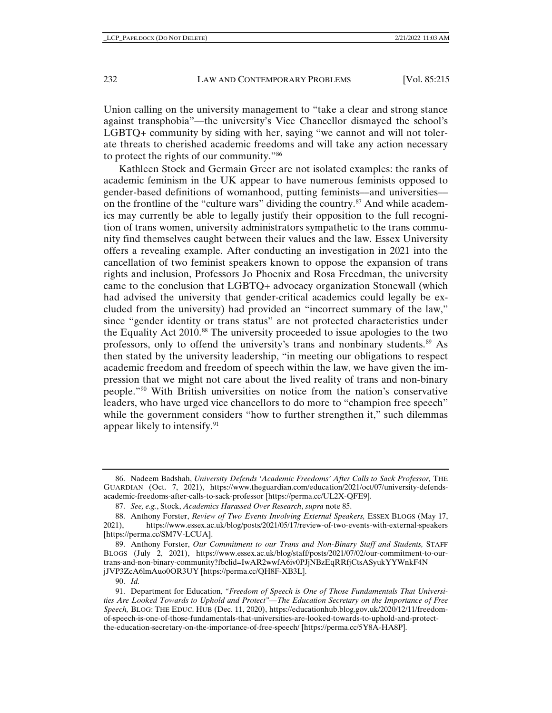Union calling on the university management to "take a clear and strong stance against transphobia"––the university's Vice Chancellor dismayed the school's LGBTQ+ community by siding with her, saying "we cannot and will not tolerate threats to cherished academic freedoms and will take any action necessary to protect the rights of our community.["86](#page-17-0)

Kathleen Stock and Germain Greer are not isolated examples: the ranks of academic feminism in the UK appear to have numerous feminists opposed to gender-based definitions of womanhood, putting feminists––and universities–– on the frontline of the "culture wars" dividing the country.[87](#page-17-1) And while academics may currently be able to legally justify their opposition to the full recognition of trans women, university administrators sympathetic to the trans community find themselves caught between their values and the law. Essex University offers a revealing example. After conducting an investigation in 2021 into the cancellation of two feminist speakers known to oppose the expansion of trans rights and inclusion, Professors Jo Phoenix and Rosa Freedman, the university came to the conclusion that LGBTQ+ advocacy organization Stonewall (which had advised the university that gender-critical academics could legally be excluded from the university) had provided an "incorrect summary of the law," since "gender identity or trans status" are not protected characteristics under the Equality Act 2010.<sup>[88](#page-17-2)</sup> The university proceeded to issue apologies to the two professors, only to offend the university's trans and nonbinary students.<sup>[89](#page-17-3)</sup> As then stated by the university leadership, "in meeting our obligations to respect academic freedom and freedom of speech within the law, we have given the impression that we might not care about the lived reality of trans and non-binary people."[90](#page-17-4) With British universities on notice from the nation's conservative leaders, who have urged vice chancellors to do more to "champion free speech" while the government considers "how to further strengthen it," such dilemmas appear likely to intensify.[91](#page-17-5)

<span id="page-17-0"></span><sup>86.</sup> Nadeem Badshah, *University Defends 'Academic Freedoms' After Calls to Sack Professor,* THE GUARDIAN (Oct. 7, 2021), https://www.theguardian.com/education/2021/oct/07/university-defendsacademic-freedoms-after-calls-to-sack-professor [https://perma.cc/UL2X-QFE9].

<sup>87.</sup> *See, e.g.*, Stock, *Academics Harassed Over Research*, *supra* note 85.

<span id="page-17-2"></span><span id="page-17-1"></span><sup>88.</sup> Anthony Forster, *Review of Two Events Involving External Speakers,* ESSEX BLOGS (May 17, 2021), https://www.essex.ac.uk/blog/posts/2021/05/17/review-of-two-events-with-external-speakers [https://perma.cc/SM7V-LCUA].

<span id="page-17-3"></span><sup>89.</sup> Anthony Forster, *Our Commitment to our Trans and Non-Binary Staff and Students,* STAFF BLOGS (July 2, 2021), https://www.essex.ac.uk/blog/staff/posts/2021/07/02/our-commitment-to-ourtrans-and-non-binary-community?fbclid=IwAR2wwfA6iv0PJjNBzEqRRfjCtsASyukYYWnkF4N jJVP3ZcA6lmAuo0OR3UY [https://perma.cc/QH8F-XB3L].

<sup>90.</sup> *Id.*

<span id="page-17-5"></span><span id="page-17-4"></span><sup>91.</sup> Department for Education, *"Freedom of Speech is One of Those Fundamentals That Universities Are Looked Towards to Uphold and Protect"––The Education Secretary on the Importance of Free Speech,* BLOG: THE EDUC. HUB (Dec. 11, 2020), https://educationhub.blog.gov.uk/2020/12/11/freedomof-speech-is-one-of-those-fundamentals-that-universities-are-looked-towards-to-uphold-and-protectthe-education-secretary-on-the-importance-of-free-speech/ [https://perma.cc/5Y8A-HA8P].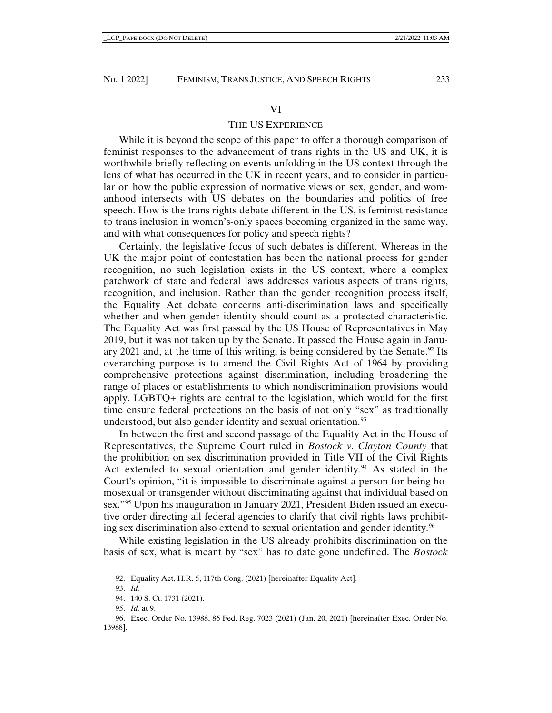#### VI

## THE US EXPERIENCE

While it is beyond the scope of this paper to offer a thorough comparison of feminist responses to the advancement of trans rights in the US and UK, it is worthwhile briefly reflecting on events unfolding in the US context through the lens of what has occurred in the UK in recent years, and to consider in particular on how the public expression of normative views on sex, gender, and womanhood intersects with US debates on the boundaries and politics of free speech. How is the trans rights debate different in the US, is feminist resistance to trans inclusion in women's-only spaces becoming organized in the same way, and with what consequences for policy and speech rights?

Certainly, the legislative focus of such debates is different. Whereas in the UK the major point of contestation has been the national process for gender recognition, no such legislation exists in the US context, where a complex patchwork of state and federal laws addresses various aspects of trans rights, recognition, and inclusion. Rather than the gender recognition process itself, the Equality Act debate concerns anti-discrimination laws and specifically whether and when gender identity should count as a protected characteristic. The Equality Act was first passed by the US House of Representatives in May 2019, but it was not taken up by the Senate. It passed the House again in Janu-ary 2021 and, at the time of this writing, is being considered by the Senate.<sup>[92](#page-18-0)</sup> Its overarching purpose is to amend the Civil Rights Act of 1964 by providing comprehensive protections against discrimination, including broadening the range of places or establishments to which nondiscrimination provisions would apply. LGBTQ+ rights are central to the legislation, which would for the first time ensure federal protections on the basis of not only "sex" as traditionally understood, but also gender identity and sexual orientation.<sup>[93](#page-18-1)</sup>

In between the first and second passage of the Equality Act in the House of Representatives, the Supreme Court ruled in *Bostock v. Clayton County* that the prohibition on sex discrimination provided in Title VII of the Civil Rights Act extended to sexual orientation and gender identity.<sup>[94](#page-18-2)</sup> As stated in the Court's opinion, "it is impossible to discriminate against a person for being homosexual or transgender without discriminating against that individual based on sex."[95](#page-18-3) Upon his inauguration in January 2021, President Biden issued an executive order directing all federal agencies to clarify that civil rights laws prohibit-ing sex discrimination also extend to sexual orientation and gender identity.<sup>[96](#page-18-4)</sup>

<span id="page-18-0"></span>While existing legislation in the US already prohibits discrimination on the basis of sex, what is meant by "sex" has to date gone undefined. The *Bostock*

<sup>92.</sup> Equality Act, H.R. 5, 117th Cong. (2021) [hereinafter Equality Act].

<sup>93.</sup> *Id.*

<sup>94.</sup> 140 S. Ct. 1731 (2021).

<sup>95.</sup> *Id.* at 9.

<span id="page-18-4"></span><span id="page-18-3"></span><span id="page-18-2"></span><span id="page-18-1"></span><sup>96.</sup> Exec. Order No. 13988, 86 Fed. Reg. 7023 (2021) (Jan. 20, 2021) [hereinafter Exec. Order No. 13988].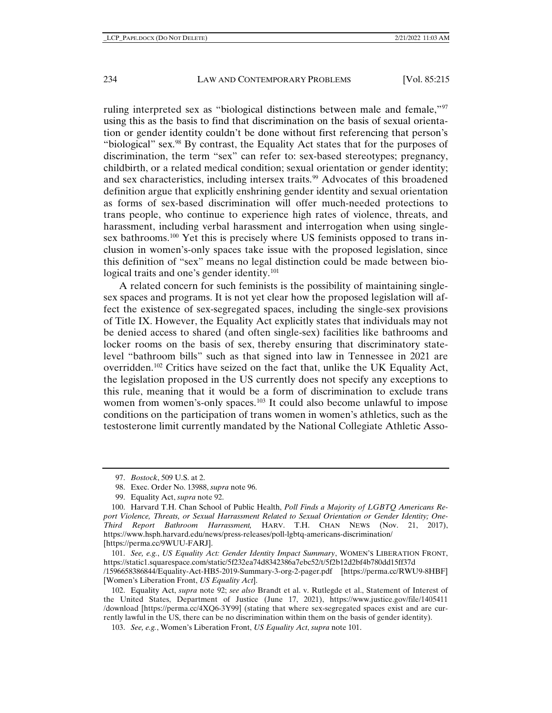ruling interpreted sex as "biological distinctions between male and female,["97](#page-19-0) using this as the basis to find that discrimination on the basis of sexual orientation or gender identity couldn't be done without first referencing that person's "biological" sex.[98](#page-19-1) By contrast, the Equality Act states that for the purposes of discrimination, the term "sex" can refer to: sex-based stereotypes; pregnancy, childbirth, or a related medical condition; sexual orientation or gender identity; and sex characteristics, including intersex traits.<sup>[99](#page-19-2)</sup> Advocates of this broadened definition argue that explicitly enshrining gender identity and sexual orientation as forms of sex-based discrimination will offer much-needed protections to trans people, who continue to experience high rates of violence, threats, and harassment, including verbal harassment and interrogation when using single-sex bathrooms.<sup>[100](#page-19-3)</sup> Yet this is precisely where US feminists opposed to trans inclusion in women's-only spaces take issue with the proposed legislation, since this definition of "sex" means no legal distinction could be made between bio-logical traits and one's gender identity.<sup>[101](#page-19-4)</sup>

A related concern for such feminists is the possibility of maintaining singlesex spaces and programs. It is not yet clear how the proposed legislation will affect the existence of sex-segregated spaces, including the single-sex provisions of Title IX. However, the Equality Act explicitly states that individuals may not be denied access to shared (and often single-sex) facilities like bathrooms and locker rooms on the basis of sex, thereby ensuring that discriminatory statelevel "bathroom bills" such as that signed into law in Tennessee in 2021 are overridden.<sup>[102](#page-19-5)</sup> Critics have seized on the fact that, unlike the UK Equality Act, the legislation proposed in the US currently does not specify any exceptions to this rule, meaning that it would be a form of discrimination to exclude trans women from women's-only spaces.<sup>[103](#page-19-6)</sup> It could also become unlawful to impose conditions on the participation of trans women in women's athletics, such as the testosterone limit currently mandated by the National Collegiate Athletic Asso-

<span id="page-19-4"></span>101. *See, e.g.*, *US Equality Act: Gender Identity Impact Summary*, WOMEN'S LIBERATION FRONT, https://static1.squarespace.com/static/5f232ea74d8342386a7ebc52/t/5f2b12d2bf4b780dd15ff37d /1596658386844/Equality-Act-HB5-2019-Summary-3-org-2-pager.pdf [https://perma.cc/RWU9-8HBF] [Women's Liberation Front, *US Equality Act*].

<sup>97.</sup> *Bostock*, 509 U.S. at 2.

<sup>98.</sup> Exec. Order No. 13988, *supra* note 96.

<sup>99.</sup> Equality Act, *supra* note 92.

<span id="page-19-3"></span><span id="page-19-2"></span><span id="page-19-1"></span><span id="page-19-0"></span><sup>100.</sup> Harvard T.H. Chan School of Public Health, *Poll Finds a Majority of LGBTQ Americans Report Violence, Threats, or Sexual Harrassment Related to Sexual Orientation or Gender Identity; One-Third Report Bathroom Harrassment,* HARV. T.H. CHAN NEWS (Nov. 21, 2017), https://www.hsph.harvard.edu/news/press-releases/poll-lgbtq-americans-discrimination/ [https://perma.cc/9WUU-FARJ].

<span id="page-19-6"></span><span id="page-19-5"></span><sup>102.</sup> Equality Act, *supra* note 92; *see also* Brandt et al. v. Rutlegde et al., Statement of Interest of the United States, Department of Justice (June 17, 2021), https://www.justice.gov/file/1405411 /download [https://perma.cc/4XQ6-3Y99] (stating that where sex-segregated spaces exist and are currently lawful in the US, there can be no discrimination within them on the basis of gender identity).

<sup>103.</sup> *See, e.g.*, Women's Liberation Front, *US Equality Act*, *supra* note 101.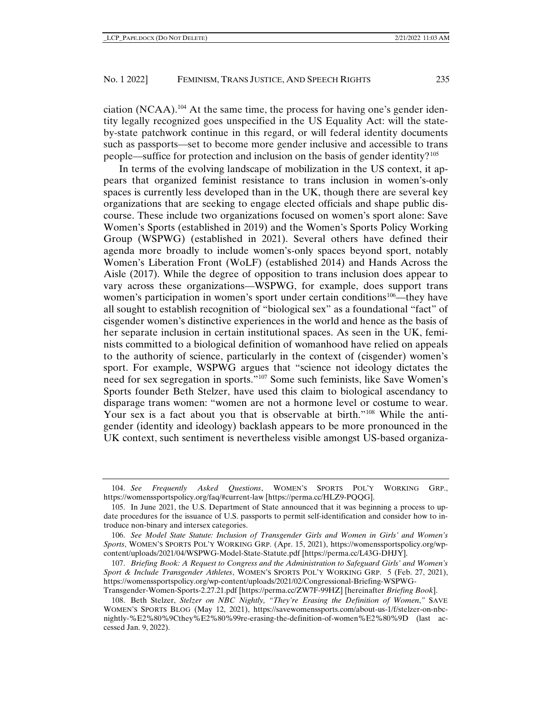ciation (NCAA).[104](#page-20-0) At the same time, the process for having one's gender identity legally recognized goes unspecified in the US Equality Act: will the stateby-state patchwork continue in this regard, or will federal identity documents such as passports––set to become more gender inclusive and accessible to trans people––suffice for protection and inclusion on the basis of gender identity?[105](#page-20-1)

In terms of the evolving landscape of mobilization in the US context, it appears that organized feminist resistance to trans inclusion in women's-only spaces is currently less developed than in the UK, though there are several key organizations that are seeking to engage elected officials and shape public discourse. These include two organizations focused on women's sport alone: Save Women's Sports (established in 2019) and the Women's Sports Policy Working Group (WSPWG) (established in 2021). Several others have defined their agenda more broadly to include women's-only spaces beyond sport, notably Women's Liberation Front (WoLF) (established 2014) and Hands Across the Aisle (2017). While the degree of opposition to trans inclusion does appear to vary across these organizations––WSPWG, for example, does support trans women's participation in women's sport under certain conditions<sup>[106](#page-20-2)</sup>—they have all sought to establish recognition of "biological sex" as a foundational "fact" of cisgender women's distinctive experiences in the world and hence as the basis of her separate inclusion in certain institutional spaces. As seen in the UK, feminists committed to a biological definition of womanhood have relied on appeals to the authority of science, particularly in the context of (cisgender) women's sport. For example, WSPWG argues that "science not ideology dictates the need for sex segregation in sports."[107](#page-20-3) Some such feminists, like Save Women's Sports founder Beth Stelzer, have used this claim to biological ascendancy to disparage trans women: "women are not a hormone level or costume to wear. Your sex is a fact about you that is observable at birth."<sup>[108](#page-20-4)</sup> While the antigender (identity and ideology) backlash appears to be more pronounced in the UK context, such sentiment is nevertheless visible amongst US-based organiza-

<span id="page-20-0"></span><sup>104.</sup> *See Frequently Asked Questions*, WOMEN'S SPORTS POL'Y WORKING GRP., https://womenssportspolicy.org/faq/#current-law [https://perma.cc/HLZ9-PQQG].

<span id="page-20-1"></span><sup>105.</sup> In June 2021, the U.S. Department of State announced that it was beginning a process to update procedures for the issuance of U.S. passports to permit self-identification and consider how to introduce non-binary and intersex categories.

<span id="page-20-2"></span><sup>106.</sup> *See Model State Statute: Inclusion of Transgender Girls and Women in Girls' and Women's Sports*, WOMEN'S SPORTS POL'Y WORKING GRP. (Apr. 15, 2021), https://womenssportspolicy.org/wpcontent/uploads/2021/04/WSPWG-Model-State-Statute.pdf [https://perma.cc/L43G-DHJY].

<span id="page-20-3"></span><sup>107.</sup> *Briefing Book: A Request to Congress and the Administration to Safeguard Girls' and Women's Sport & Include Transgender Athletes*, WOMEN'S SPORTS POL'Y WORKING GRP. 5 (Feb. 27, 2021), https://womenssportspolicy.org/wp-content/uploads/2021/02/Congressional-Briefing-WSPWG-Transgender-Women-Sports-2.27.21.pdf [https://perma.cc/ZW7F-99HZ] [hereinafter *Briefing Book*].

<span id="page-20-4"></span><sup>108.</sup> Beth Stelzer, *Stelzer on NBC Nightly, "They're Erasing the Definition of Women*,*"* SAVE WOMEN'S SPORTS BLOG (May 12, 2021), https://savewomenssports.com/about-us-1/f/stelzer-on-nbcnightly-%E2%80%9Cthey%E2%80%99re-erasing-the-definition-of-women%E2%80%9D (last accessed Jan. 9, 2022).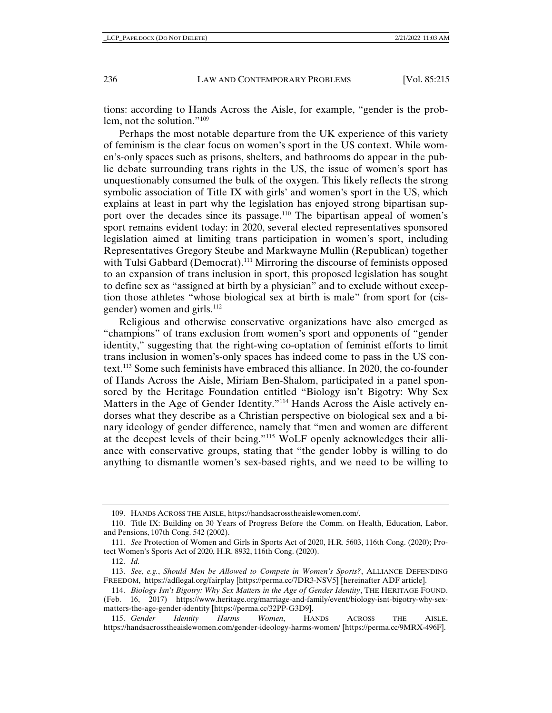tions: according to Hands Across the Aisle, for example, "gender is the problem, not the solution."[109](#page-21-0)

Perhaps the most notable departure from the UK experience of this variety of feminism is the clear focus on women's sport in the US context. While women's-only spaces such as prisons, shelters, and bathrooms do appear in the public debate surrounding trans rights in the US, the issue of women's sport has unquestionably consumed the bulk of the oxygen. This likely reflects the strong symbolic association of Title IX with girls' and women's sport in the US, which explains at least in part why the legislation has enjoyed strong bipartisan support over the decades since its passage.[110](#page-21-1) The bipartisan appeal of women's sport remains evident today: in 2020, several elected representatives sponsored legislation aimed at limiting trans participation in women's sport, including Representatives Gregory Steube and Markwayne Mullin (Republican) together with Tulsi Gabbard (Democrat).<sup>[111](#page-21-2)</sup> Mirroring the discourse of feminists opposed to an expansion of trans inclusion in sport, this proposed legislation has sought to define sex as "assigned at birth by a physician" and to exclude without exception those athletes "whose biological sex at birth is male" from sport for (cis-gender) women and girls.<sup>[112](#page-21-3)</sup>

Religious and otherwise conservative organizations have also emerged as "champions" of trans exclusion from women's sport and opponents of "gender identity," suggesting that the right-wing co-optation of feminist efforts to limit trans inclusion in women's-only spaces has indeed come to pass in the US context.[113](#page-21-4) Some such feminists have embraced this alliance. In 2020, the co-founder of Hands Across the Aisle, Miriam Ben-Shalom, participated in a panel sponsored by the Heritage Foundation entitled "Biology isn't Bigotry: Why Sex Matters in the Age of Gender Identity."[114](#page-21-5) Hands Across the Aisle actively endorses what they describe as a Christian perspective on biological sex and a binary ideology of gender difference, namely that "men and women are different at the deepest levels of their being."[115](#page-21-6) WoLF openly acknowledges their alliance with conservative groups, stating that "the gender lobby is willing to do anything to dismantle women's sex-based rights, and we need to be willing to

<sup>109.</sup> HANDS ACROSS THE AISLE, https://handsacrosstheaislewomen.com/.

<span id="page-21-1"></span><span id="page-21-0"></span><sup>110.</sup> Title IX: Building on 30 Years of Progress Before the Comm. on Health, Education, Labor, and Pensions, 107th Cong. 542 (2002).

<span id="page-21-2"></span><sup>111.</sup> *See* Protection of Women and Girls in Sports Act of 2020, H.R. 5603, 116th Cong. (2020); Protect Women's Sports Act of 2020, H.R. 8932, 116th Cong. (2020).

<sup>112.</sup> *Id.*

<span id="page-21-4"></span><span id="page-21-3"></span><sup>113.</sup> *See, e.g.*, *Should Men be Allowed to Compete in Women's Sports?*, ALLIANCE DEFENDING FREEDOM, https://adflegal.org/fairplay [https://perma.cc/7DR3-NSV5] [hereinafter ADF article].

<span id="page-21-5"></span><sup>114.</sup> *Biology Isn't Bigotry: Why Sex Matters in the Age of Gender Identity*, THE HERITAGE FOUND. (Feb. 16, 2017) https://www.heritage.org/marriage-and-family/event/biology-isnt-bigotry-why-sexmatters-the-age-gender-identity [https://perma.cc/32PP-G3D9].

<span id="page-21-6"></span><sup>115.</sup> *Gender Identity Harms Women*, HANDS ACROSS THE AISLE, https://handsacrosstheaislewomen.com/gender-ideology-harms-women/ [https://perma.cc/9MRX-496F].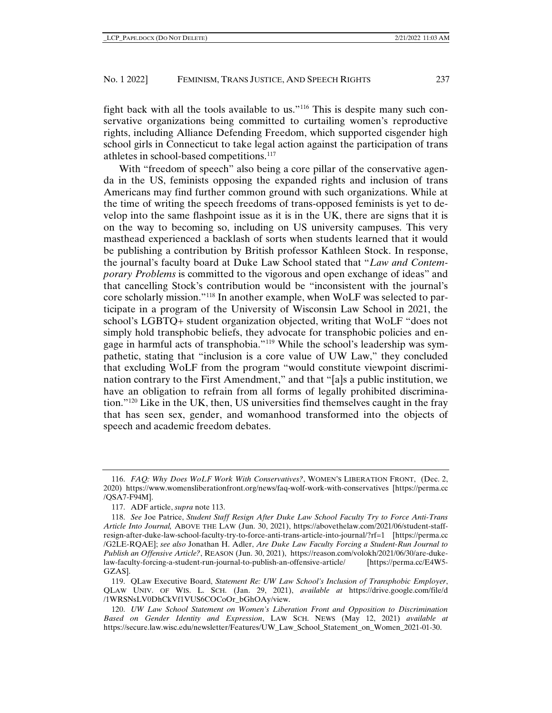fight back with all the tools available to us."[116](#page-22-0) This is despite many such conservative organizations being committed to curtailing women's reproductive rights, including Alliance Defending Freedom, which supported cisgender high school girls in Connecticut to take legal action against the participation of trans athletes in school-based competitions[.117](#page-22-1)

With "freedom of speech" also being a core pillar of the conservative agenda in the US, feminists opposing the expanded rights and inclusion of trans Americans may find further common ground with such organizations. While at the time of writing the speech freedoms of trans-opposed feminists is yet to develop into the same flashpoint issue as it is in the UK, there are signs that it is on the way to becoming so, including on US university campuses. This very masthead experienced a backlash of sorts when students learned that it would be publishing a contribution by British professor Kathleen Stock. In response, the journal's faculty board at Duke Law School stated that "*Law and Contemporary Problems* is committed to the vigorous and open exchange of ideas" and that cancelling Stock's contribution would be "inconsistent with the journal's core scholarly mission."[118](#page-22-2) In another example, when WoLF was selected to participate in a program of the University of Wisconsin Law School in 2021, the school's LGBTQ+ student organization objected, writing that WoLF "does not simply hold transphobic beliefs, they advocate for transphobic policies and engage in harmful acts of transphobia."[119](#page-22-3) While the school's leadership was sympathetic, stating that "inclusion is a core value of UW Law," they concluded that excluding WoLF from the program "would constitute viewpoint discrimination contrary to the First Amendment," and that "[a]s a public institution, we have an obligation to refrain from all forms of legally prohibited discrimina-tion."<sup>[120](#page-22-4)</sup> Like in the UK, then, US universities find themselves caught in the fray that has seen sex, gender, and womanhood transformed into the objects of speech and academic freedom debates.

<span id="page-22-0"></span><sup>116.</sup> *FAQ: Why Does WoLF Work With Conservatives?*, WOMEN'S LIBERATION FRONT, (Dec. 2, 2020) https://www.womensliberationfront.org/news/faq-wolf-work-with-conservatives [https://perma.cc /QSA7-F94M].

<sup>117.</sup> ADF article, *supra* note 113.

<span id="page-22-2"></span><span id="page-22-1"></span><sup>118.</sup> *See* Joe Patrice, *Student Staff Resign After Duke Law School Faculty Try to Force Anti-Trans Article Into Journal,* ABOVE THE LAW (Jun. 30, 2021), https://abovethelaw.com/2021/06/student-staffresign-after-duke-law-school-faculty-try-to-force-anti-trans-article-into-journal/?rf=1 [https://perma.cc /G2LE-RQAE]; *see also* Jonathan H. Adler, *Are Duke Law Faculty Forcing a Student-Run Journal to Publish an Offensive Article?*, REASON (Jun. 30, 2021), https://reason.com/volokh/2021/06/30/are-dukelaw-faculty-forcing-a-student-run-journal-to-publish-an-offensive-article/ [https://perma.cc/E4W5- GZAS].

<span id="page-22-3"></span><sup>119.</sup> QLaw Executive Board, *Statement Re: UW Law School's Inclusion of Transphobic Employer*, QLAW UNIV. OF WIS. L. SCH. (Jan. 29, 2021), *available at* https://drive.google.com/file/d /1WRSNsLV0DhCkVf1VUS6COCoOr\_bGhOAy/view.

<span id="page-22-4"></span><sup>120.</sup> *UW Law School Statement on Women's Liberation Front and Opposition to Discrimination Based on Gender Identity and Expression*, LAW SCH. NEWS (May 12, 2021) *available at*  https://secure.law.wisc.edu/newsletter/Features/UW\_Law\_School\_Statement\_on\_Women\_2021-01-30.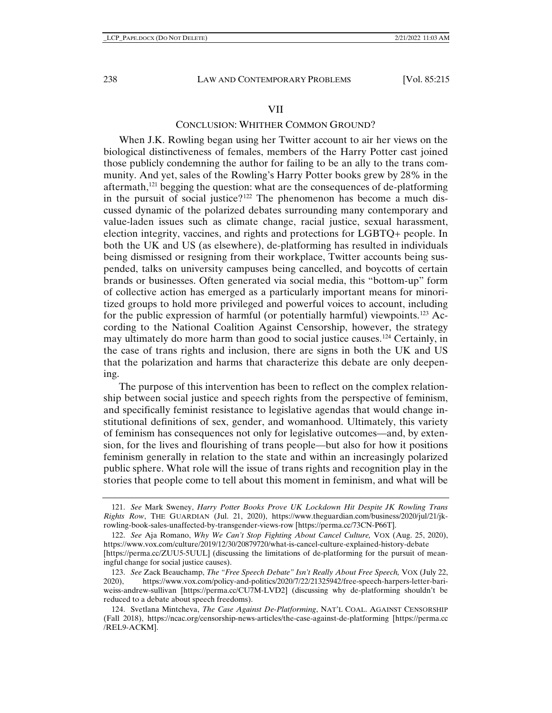#### VII

## CONCLUSION: WHITHER COMMON GROUND?

When J.K. Rowling began using her Twitter account to air her views on the biological distinctiveness of females, members of the Harry Potter cast joined those publicly condemning the author for failing to be an ally to the trans community. And yet, sales of the Rowling's Harry Potter books grew by 28% in the aftermath,<sup>[121](#page-23-0)</sup> begging the question: what are the consequences of de-platforming in the pursuit of social justice?<sup>[122](#page-23-1)</sup> The phenomenon has become a much discussed dynamic of the polarized debates surrounding many contemporary and value-laden issues such as climate change, racial justice, sexual harassment, election integrity, vaccines, and rights and protections for LGBTQ+ people. In both the UK and US (as elsewhere), de-platforming has resulted in individuals being dismissed or resigning from their workplace, Twitter accounts being suspended, talks on university campuses being cancelled, and boycotts of certain brands or businesses. Often generated via social media, this "bottom-up" form of collective action has emerged as a particularly important means for minoritized groups to hold more privileged and powerful voices to account, including for the public expression of harmful (or potentially harmful) viewpoints.[123](#page-23-2) According to the National Coalition Against Censorship, however, the strategy may ultimately do more harm than good to social justice causes.[124](#page-23-3) Certainly, in the case of trans rights and inclusion, there are signs in both the UK and US that the polarization and harms that characterize this debate are only deepening.

The purpose of this intervention has been to reflect on the complex relationship between social justice and speech rights from the perspective of feminism, and specifically feminist resistance to legislative agendas that would change institutional definitions of sex, gender, and womanhood. Ultimately, this variety of feminism has consequences not only for legislative outcomes––and, by extension, for the lives and flourishing of trans people––but also for how it positions feminism generally in relation to the state and within an increasingly polarized public sphere. What role will the issue of trans rights and recognition play in the stories that people come to tell about this moment in feminism, and what will be

<span id="page-23-0"></span><sup>121.</sup> *See* Mark Sweney, *Harry Potter Books Prove UK Lockdown Hit Despite JK Rowling Trans Rights Row*, THE GUARDIAN (Jul. 21, 2020), https://www.theguardian.com/business/2020/jul/21/jkrowling-book-sales-unaffected-by-transgender-views-row [https://perma.cc/73CN-P66T].

<span id="page-23-1"></span><sup>122.</sup> *See* Aja Romano, *Why We Can't Stop Fighting About Cancel Culture,* VOX (Aug. 25, 2020), https://www.vox.com/culture/2019/12/30/20879720/what-is-cancel-culture-explained-history-debate [https://perma.cc/ZUU5-5UUL] (discussing the limitations of de-platforming for the pursuit of mean-

<span id="page-23-2"></span>ingful change for social justice causes). 123. *See* Zack Beauchamp, *The "Free Speech Debate" Isn't Really About Free Speech,* VOX (July 22, 2020), https://www.vox.com/policy-and-politics/2020/7/22/21325942/free-speech-harpers-letter-bariweiss-andrew-sullivan [https://perma.cc/CU7M-LVD2] (discussing why de-platforming shouldn't be reduced to a debate about speech freedoms).

<span id="page-23-3"></span><sup>124.</sup> Svetlana Mintcheva, *The Case Against De-Platforming*, NAT'L COAL. AGAINST CENSORSHIP (Fall 2018), https://ncac.org/censorship-news-articles/the-case-against-de-platforming [https://perma.cc /REL9-ACKM].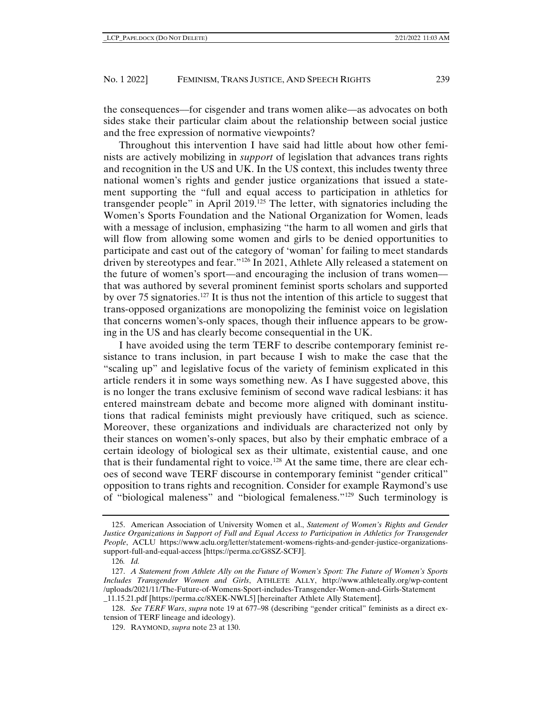the consequences––for cisgender and trans women alike––as advocates on both sides stake their particular claim about the relationship between social justice and the free expression of normative viewpoints?

Throughout this intervention I have said had little about how other feminists are actively mobilizing in *support* of legislation that advances trans rights and recognition in the US and UK. In the US context, this includes twenty three national women's rights and gender justice organizations that issued a statement supporting the "full and equal access to participation in athletics for transgender people" in April 2019.[125](#page-24-0) The letter, with signatories including the Women's Sports Foundation and the National Organization for Women, leads with a message of inclusion, emphasizing "the harm to all women and girls that will flow from allowing some women and girls to be denied opportunities to participate and cast out of the category of 'woman' for failing to meet standards driven by stereotypes and fear."[126](#page-24-1) In 2021, Athlete Ally released a statement on the future of women's sport––and encouraging the inclusion of trans women–– that was authored by several prominent feminist sports scholars and supported by over 75 signatories.<sup>[127](#page-24-2)</sup> It is thus not the intention of this article to suggest that trans-opposed organizations are monopolizing the feminist voice on legislation that concerns women's-only spaces, though their influence appears to be growing in the US and has clearly become consequential in the UK.

I have avoided using the term TERF to describe contemporary feminist resistance to trans inclusion, in part because I wish to make the case that the "scaling up" and legislative focus of the variety of feminism explicated in this article renders it in some ways something new. As I have suggested above, this is no longer the trans exclusive feminism of second wave radical lesbians: it has entered mainstream debate and become more aligned with dominant institutions that radical feminists might previously have critiqued, such as science. Moreover, these organizations and individuals are characterized not only by their stances on women's-only spaces, but also by their emphatic embrace of a certain ideology of biological sex as their ultimate, existential cause, and one that is their fundamental right to voice.<sup>[128](#page-24-3)</sup> At the same time, there are clear echoes of second wave TERF discourse in contemporary feminist "gender critical" opposition to trans rights and recognition. Consider for example Raymond's use of "biological maleness" and "biological femaleness."[129](#page-24-4) Such terminology is

<span id="page-24-0"></span><sup>125.</sup> American Association of University Women et al., *Statement of Women's Rights and Gender Justice Organizations in Support of Full and Equal Access to Participation in Athletics for Transgender People*, ACLU https://www.aclu.org/letter/statement-womens-rights-and-gender-justice-organizationssupport-full-and-equal-access [https://perma.cc/G8SZ-SCFJ].

<sup>126</sup>*. Id.*

<span id="page-24-2"></span><span id="page-24-1"></span><sup>127.</sup> *A Statement from Athlete Ally on the Future of Women's Sport: The Future of Women's Sports Includes Transgender Women and Girls*, ATHLETE ALLY, http://www.athleteally.org/wp-content /uploads/2021/11/The-Future-of-Womens-Sport-includes-Transgender-Women-and-Girls-Statement \_11.15.21.pdf [https://perma.cc/8XEK-NWL5] [hereinafter Athlete Ally Statement].

<span id="page-24-4"></span><span id="page-24-3"></span><sup>128.</sup> *See TERF Wars*, *supra* note 19 at 677–98 (describing "gender critical" feminists as a direct extension of TERF lineage and ideology).

<sup>129.</sup> RAYMOND, *supra* note 23 at 130.